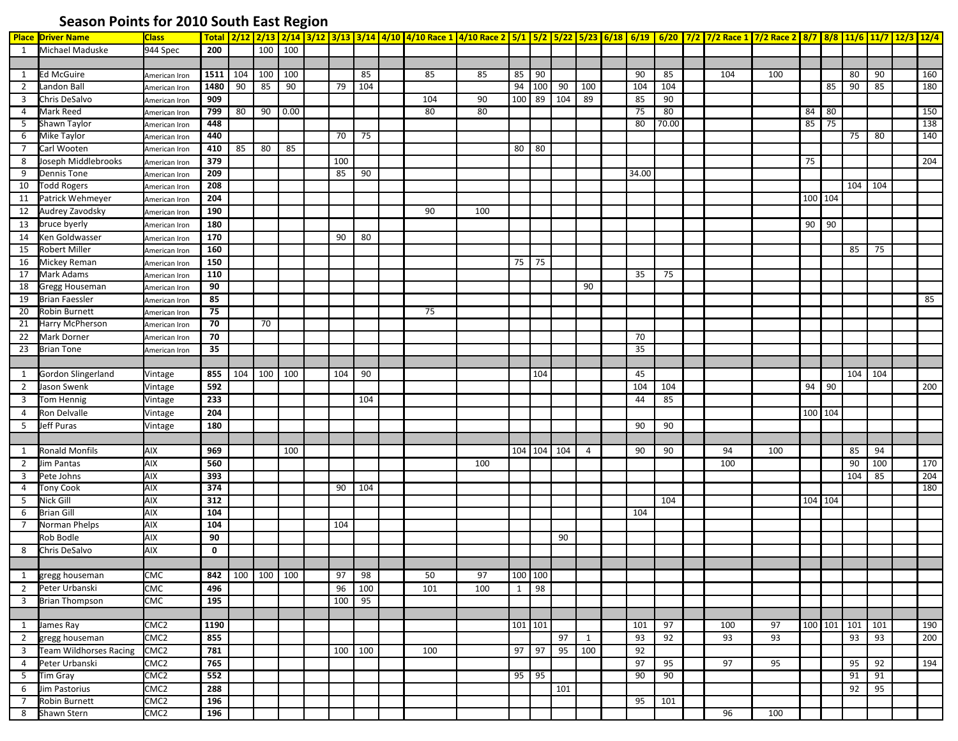## **Season Points for 2010 South East Region**

|                | <b>Place Driver Name</b>         | <b>Class</b>                   |                 |     |                 |               |         |     | Total 2/12 2/13 2/14 3/12 3/13 3/14 4/10 4/10 Race 1 4/10 Race 2 5/1 5/2 5/22 5/23 6/18 6/19 6/20 7/2 7/2 Race 1 7/2 Race 2 8/7 8/8 11/6 11/7 12/3 12/4 |     |         |             |     |     |       |       |     |     |         |    |                 |         |     |
|----------------|----------------------------------|--------------------------------|-----------------|-----|-----------------|---------------|---------|-----|---------------------------------------------------------------------------------------------------------------------------------------------------------|-----|---------|-------------|-----|-----|-------|-------|-----|-----|---------|----|-----------------|---------|-----|
| 1              | Michael Maduske                  | 944 Spec                       | 200             |     |                 | $100$   $100$ |         |     |                                                                                                                                                         |     |         |             |     |     |       |       |     |     |         |    |                 |         |     |
|                |                                  |                                |                 |     |                 |               |         |     |                                                                                                                                                         |     |         |             |     |     |       |       |     |     |         |    |                 |         |     |
| 1              | <b>Ed McGuire</b>                | American Iron                  | 1511            | 104 | 100             | 100           |         | 85  | 85                                                                                                                                                      | 85  | 85      | 90          |     |     | 90    | 85    | 104 | 100 |         |    | 80              | 90      | 160 |
| $\overline{2}$ | Landon Ball                      | American Iron                  | 1480            | 90  | 85              | 90            | 79      | 104 |                                                                                                                                                         |     |         | 94 100      | 90  | 100 | 104   | 104   |     |     |         | 85 | 90              | 85      | 180 |
| 3              | Chris DeSalvo                    | American Iron                  | 909             |     |                 |               |         |     | 104                                                                                                                                                     | 90  | 100 89  |             | 104 | 89  | 85    | 90    |     |     |         |    |                 |         |     |
| 4              | Mark Reed                        | American Iron                  | 799             | 80  | 90              | 0.00          |         |     | 80                                                                                                                                                      | 80  |         |             |     |     | 75    | 80    |     |     | 84      | 80 |                 |         | 150 |
| 5              | Shawn Taylor                     | American Iron                  | 448             |     |                 |               |         |     |                                                                                                                                                         |     |         |             |     |     | 80    | 70.00 |     |     | 85      | 75 |                 |         | 138 |
| 6              | Mike Taylor                      | American Iron                  | 440             |     |                 |               | 70      | 75  |                                                                                                                                                         |     |         |             |     |     |       |       |     |     |         |    | 75              | 80      | 140 |
| $\overline{7}$ | Carl Wooten                      | American Iron                  | 410             | 85  | 80              | 85            |         |     |                                                                                                                                                         |     | 80      | $\sqrt{80}$ |     |     |       |       |     |     |         |    |                 |         |     |
| 8              | Joseph Middlebrooks              | American Iron                  | 379             |     |                 |               | 100     |     |                                                                                                                                                         |     |         |             |     |     |       |       |     |     | 75      |    |                 |         | 204 |
| 9              | Dennis Tone                      | American Iron                  | 209             |     |                 |               | 85      | 90  |                                                                                                                                                         |     |         |             |     |     | 34.00 |       |     |     |         |    |                 |         |     |
| 10             | <b>Todd Rogers</b>               | American Iron                  | 208             |     |                 |               |         |     |                                                                                                                                                         |     |         |             |     |     |       |       |     |     |         |    | 104 104         |         |     |
| 11             | Patrick Wehmeyer                 | American Iron                  | 204             |     |                 |               |         |     |                                                                                                                                                         |     |         |             |     |     |       |       |     |     | 100 104 |    |                 |         |     |
| 12             | Audrey Zavodsky                  | American Iron                  | 190             |     |                 |               |         |     | 90                                                                                                                                                      | 100 |         |             |     |     |       |       |     |     |         |    |                 |         |     |
| 13             | bruce byerly                     | American Iron                  | 180             |     |                 |               |         |     |                                                                                                                                                         |     |         |             |     |     |       |       |     |     | 90      | 90 |                 |         |     |
| 14             | Ken Goldwasser                   | American Iron                  | 170             |     |                 |               | 90      | 80  |                                                                                                                                                         |     |         |             |     |     |       |       |     |     |         |    |                 |         |     |
| 15             | Robert Miller                    | American Iron                  | 160             |     |                 |               |         |     |                                                                                                                                                         |     |         |             |     |     |       |       |     |     |         |    | 85              | 75      |     |
| 16             | Mickey Reman                     |                                | 150             |     |                 |               |         |     |                                                                                                                                                         |     | 75      | 75          |     |     |       |       |     |     |         |    |                 |         |     |
| 17             | Mark Adams                       | American Iron<br>American Iron | 110             |     |                 |               |         |     |                                                                                                                                                         |     |         |             |     |     | 35    | 75    |     |     |         |    |                 |         |     |
| 18             | Gregg Houseman                   | American Iron                  | 90              |     |                 |               |         |     |                                                                                                                                                         |     |         |             |     | 90  |       |       |     |     |         |    |                 |         |     |
| 19             | <b>Brian Faessler</b>            |                                | 85              |     |                 |               |         |     |                                                                                                                                                         |     |         |             |     |     |       |       |     |     |         |    |                 |         | 85  |
| 20             | Robin Burnett                    | American Iron                  | 75              |     |                 |               |         |     | 75                                                                                                                                                      |     |         |             |     |     |       |       |     |     |         |    |                 |         |     |
| 21             | <b>Harry McPherson</b>           | American Iron                  | 70              |     | 70              |               |         |     |                                                                                                                                                         |     |         |             |     |     |       |       |     |     |         |    |                 |         |     |
|                |                                  | American Iron                  | 70              |     |                 |               |         |     |                                                                                                                                                         |     |         |             |     |     | 70    |       |     |     |         |    |                 |         |     |
| 22             | Mark Dorner<br><b>Brian Tone</b> | American Iron                  | $\overline{35}$ |     |                 |               |         |     |                                                                                                                                                         |     |         |             |     |     | 35    |       |     |     |         |    |                 |         |     |
| 23             |                                  | American Iron                  |                 |     |                 |               |         |     |                                                                                                                                                         |     |         |             |     |     |       |       |     |     |         |    |                 |         |     |
|                |                                  |                                |                 |     | 100             | 100           |         |     |                                                                                                                                                         |     |         |             |     |     |       |       |     |     |         |    |                 | 104 104 |     |
| 1              | Gordon Slingerland               | Vintage                        | 855             | 104 |                 |               | 104     | 90  |                                                                                                                                                         |     |         | 104         |     |     | 45    |       |     |     |         |    |                 |         |     |
| $\overline{2}$ | Jason Swenk                      | Vintage                        | 592             |     |                 |               |         |     |                                                                                                                                                         |     |         |             |     |     | 104   | 104   |     |     | 94      | 90 |                 |         | 200 |
| 3              | Tom Hennig                       | Vintage                        | 233             |     |                 |               |         | 104 |                                                                                                                                                         |     |         |             |     |     | 44    | 85    |     |     |         |    |                 |         |     |
| 4              | Ron Delvalle                     | Vintage                        | 204             |     |                 |               |         |     |                                                                                                                                                         |     |         |             |     |     |       |       |     |     | 100 104 |    |                 |         |     |
| 5              | Jeff Puras                       | Vintage                        | 180             |     |                 |               |         |     |                                                                                                                                                         |     |         |             |     |     | 90    | 90    |     |     |         |    |                 |         |     |
|                |                                  |                                |                 |     |                 |               |         |     |                                                                                                                                                         |     |         |             |     |     |       |       |     |     |         |    |                 |         |     |
| 1              | <b>Ronald Monfils</b>            | AIX                            | 969             |     |                 | 100           |         |     |                                                                                                                                                         |     |         | 104 104 104 |     | 4   | 90    | 90    | 94  | 100 |         |    | 85              | 94      |     |
| $\overline{2}$ | Jim Pantas                       | AIX                            | 560             |     |                 |               |         |     |                                                                                                                                                         | 100 |         |             |     |     |       |       | 100 |     |         |    | 90              | 100     | 170 |
| 3              | Pete Johns                       | <b>AIX</b>                     | 393             |     |                 |               |         |     |                                                                                                                                                         |     |         |             |     |     |       |       |     |     |         |    | 104             | 85      | 204 |
| 4              | <b>Tony Cook</b>                 | AIX                            | 374             |     |                 |               | 90      | 104 |                                                                                                                                                         |     |         |             |     |     |       |       |     |     |         |    |                 |         | 180 |
| 5              | Nick Gill                        | AIX                            | 312             |     |                 |               |         |     |                                                                                                                                                         |     |         |             |     |     |       | 104   |     |     | 104 104 |    |                 |         |     |
| 6              | <b>Brian Gill</b>                | <b>AIX</b>                     | 104             |     |                 |               |         |     |                                                                                                                                                         |     |         |             |     |     | 104   |       |     |     |         |    |                 |         |     |
| 7              | Norman Phelps                    | <b>AIX</b>                     | 104             |     |                 |               | 104     |     |                                                                                                                                                         |     |         |             |     |     |       |       |     |     |         |    |                 |         |     |
|                | Rob Bodle                        | <b>AIX</b>                     | 90              |     |                 |               |         |     |                                                                                                                                                         |     |         |             | 90  |     |       |       |     |     |         |    |                 |         |     |
| 8              | Chris DeSalvo                    | AIX                            | $\mathbf 0$     |     |                 |               |         |     |                                                                                                                                                         |     |         |             |     |     |       |       |     |     |         |    |                 |         |     |
|                |                                  |                                |                 |     |                 |               |         |     |                                                                                                                                                         |     |         |             |     |     |       |       |     |     |         |    |                 |         |     |
|                | 1 gregg houseman                 | CMC                            |                 |     | 842 100 100 100 |               | 97      | 98  | 50                                                                                                                                                      | 97  | 100 100 |             |     |     |       |       |     |     |         |    |                 |         |     |
|                | 2 Peter Urbanski                 | <b>CMC</b>                     | 496             |     |                 |               | 96      | 100 | 101                                                                                                                                                     | 100 | 1       | 98          |     |     |       |       |     |     |         |    |                 |         |     |
|                | 3 Brian Thompson                 | <b>CMC</b>                     | 195             |     |                 |               | 100     | 95  |                                                                                                                                                         |     |         |             |     |     |       |       |     |     |         |    |                 |         |     |
|                |                                  |                                |                 |     |                 |               |         |     |                                                                                                                                                         |     |         |             |     |     |       |       |     |     |         |    |                 |         |     |
| $\mathbf{1}$   | James Ray                        | CMC <sub>2</sub>               | 1190            |     |                 |               |         |     |                                                                                                                                                         |     | 101 101 |             |     |     | 101   | 97    | 100 | 97  |         |    | 100 101 101 101 |         | 190 |
| $\overline{2}$ | gregg houseman                   | CMC <sub>2</sub>               | 855             |     |                 |               |         |     |                                                                                                                                                         |     |         |             | 97  | 1   | 93    | 92    | 93  | 93  |         |    | 93              | 93      | 200 |
| 3 <sup>7</sup> | <b>Team Wildhorses Racing</b>    | CMC <sub>2</sub>               | 781             |     |                 |               | 100 100 |     | 100                                                                                                                                                     |     | $97$ 97 |             | 95  | 100 | 92    |       |     |     |         |    |                 |         |     |
| 4              | Peter Urbanski                   | CMC <sub>2</sub>               | 765             |     |                 |               |         |     |                                                                                                                                                         |     |         |             |     |     | 97    | 95    | 97  | 95  |         |    | 95              | 92      | 194 |
| 5 <sub>1</sub> | Tim Gray                         | CMC <sub>2</sub>               | 552             |     |                 |               |         |     |                                                                                                                                                         |     | $95$ 95 |             |     |     | 90    | 90    |     |     |         |    | 91              | 91      |     |
| 6              | Jim Pastorius                    | CMC <sub>2</sub>               | 288             |     |                 |               |         |     |                                                                                                                                                         |     |         |             | 101 |     |       |       |     |     |         |    | 92              | 95      |     |
| $\overline{7}$ | Robin Burnett                    | CMC <sub>2</sub>               | 196             |     |                 |               |         |     |                                                                                                                                                         |     |         |             |     |     | 95    | 101   |     |     |         |    |                 |         |     |
| 8              | Shawn Stern                      | CMC <sub>2</sub>               | 196             |     |                 |               |         |     |                                                                                                                                                         |     |         |             |     |     |       |       | 96  | 100 |         |    |                 |         |     |
|                |                                  |                                |                 |     |                 |               |         |     |                                                                                                                                                         |     |         |             |     |     |       |       |     |     |         |    |                 |         |     |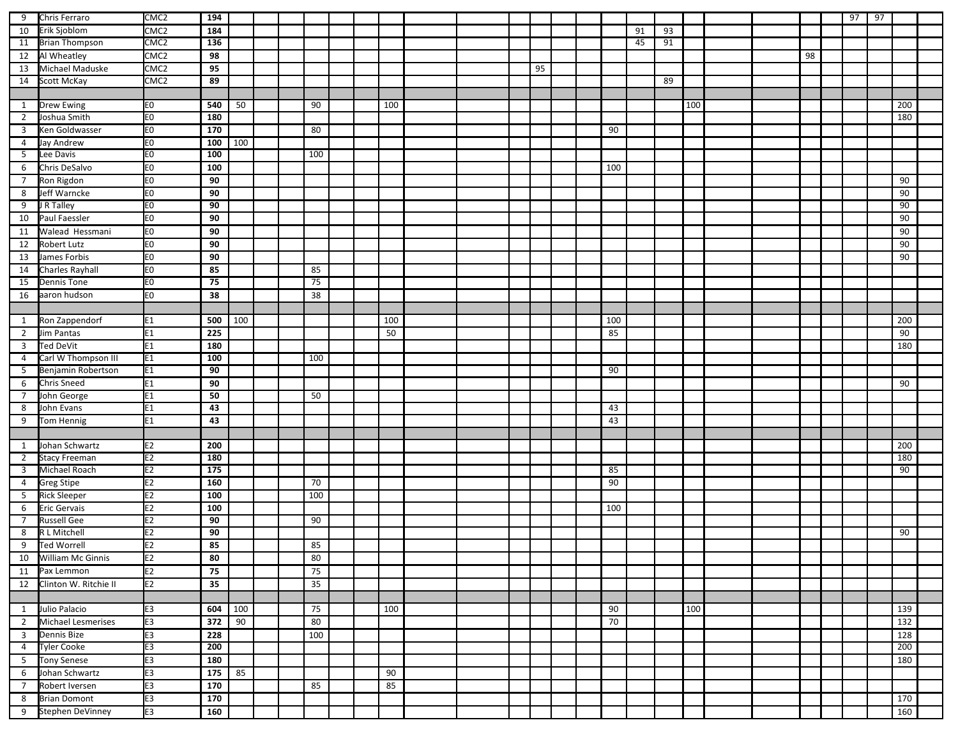| 9              | Chris Ferraro         | CMC <sub>2</sub> | 194             |     |  |     |  |     |  |    |  |     |    |    |     |  |    | 97 | 97 |     |  |
|----------------|-----------------------|------------------|-----------------|-----|--|-----|--|-----|--|----|--|-----|----|----|-----|--|----|----|----|-----|--|
| 10             | Erik Sjoblom          | CMC <sub>2</sub> | 184             |     |  |     |  |     |  |    |  |     | 91 | 93 |     |  |    |    |    |     |  |
| 11             | <b>Brian Thompson</b> | CMC <sub>2</sub> | 136             |     |  |     |  |     |  |    |  |     | 45 | 91 |     |  |    |    |    |     |  |
| 12             | Al Wheatley           | CMC <sub>2</sub> | 98              |     |  |     |  |     |  |    |  |     |    |    |     |  | 98 |    |    |     |  |
| 13             | Michael Maduske       | CMC <sub>2</sub> | 95              |     |  |     |  |     |  | 95 |  |     |    |    |     |  |    |    |    |     |  |
| 14             | Scott McKay           | CMC <sub>2</sub> | 89              |     |  |     |  |     |  |    |  |     |    | 89 |     |  |    |    |    |     |  |
|                |                       |                  |                 |     |  |     |  |     |  |    |  |     |    |    |     |  |    |    |    |     |  |
| $\mathbf{1}$   | <b>Drew Ewing</b>     | E <sub>0</sub>   | 540             | 50  |  | 90  |  | 100 |  |    |  |     |    |    | 100 |  |    |    |    | 200 |  |
| $\overline{2}$ | Joshua Smith          | E0               | 180             |     |  |     |  |     |  |    |  |     |    |    |     |  |    |    |    | 180 |  |
| $\overline{3}$ | Ken Goldwasser        | E <sub>0</sub>   | 170             |     |  | 80  |  |     |  |    |  | 90  |    |    |     |  |    |    |    |     |  |
| $\overline{4}$ | Jay Andrew            | E <sub>0</sub>   | 100             | 100 |  |     |  |     |  |    |  |     |    |    |     |  |    |    |    |     |  |
| 5              | Lee Davis             | E <sub>0</sub>   | 100             |     |  | 100 |  |     |  |    |  |     |    |    |     |  |    |    |    |     |  |
| 6              | Chris DeSalvo         | E <sub>0</sub>   | 100             |     |  |     |  |     |  |    |  | 100 |    |    |     |  |    |    |    |     |  |
| $\overline{7}$ | Ron Rigdon            | E <sub>0</sub>   | 90              |     |  |     |  |     |  |    |  |     |    |    |     |  |    |    |    | 90  |  |
| 8              | Jeff Warncke          | E <sub>0</sub>   | 90              |     |  |     |  |     |  |    |  |     |    |    |     |  |    |    |    | 90  |  |
| 9              | J R Talley            | E <sub>0</sub>   | 90              |     |  |     |  |     |  |    |  |     |    |    |     |  |    |    |    | 90  |  |
| 10             | Paul Faessler         | E <sub>0</sub>   | 90              |     |  |     |  |     |  |    |  |     |    |    |     |  |    |    |    | 90  |  |
| 11             | Walead Hessmani       | E <sub>0</sub>   | 90              |     |  |     |  |     |  |    |  |     |    |    |     |  |    |    |    | 90  |  |
| 12             | Robert Lutz           | E <sub>0</sub>   | 90              |     |  |     |  |     |  |    |  |     |    |    |     |  |    |    |    | 90  |  |
| 13             | James Forbis          | E0               | 90              |     |  |     |  |     |  |    |  |     |    |    |     |  |    |    |    | 90  |  |
| 14             | Charles Rayhall       | E0               | 85              |     |  | 85  |  |     |  |    |  |     |    |    |     |  |    |    |    |     |  |
| 15             | <b>Dennis Tone</b>    | E <sub>0</sub>   | 75              |     |  | 75  |  |     |  |    |  |     |    |    |     |  |    |    |    |     |  |
| 16             | aaron hudson          | E0               | 38              |     |  | 38  |  |     |  |    |  |     |    |    |     |  |    |    |    |     |  |
|                |                       |                  |                 |     |  |     |  |     |  |    |  |     |    |    |     |  |    |    |    |     |  |
| 1              | Ron Zappendorf        | E <sub>1</sub>   | 500             | 100 |  |     |  | 100 |  |    |  | 100 |    |    |     |  |    |    |    | 200 |  |
| $\overline{2}$ | Jim Pantas            | E <sub>1</sub>   | 225             |     |  |     |  | 50  |  |    |  | 85  |    |    |     |  |    |    |    | 90  |  |
| $\overline{3}$ | <b>Ted DeVit</b>      | E <sub>1</sub>   | 180             |     |  |     |  |     |  |    |  |     |    |    |     |  |    |    |    | 180 |  |
| 4              | Carl W Thompson III   | E <sub>1</sub>   | 100             |     |  | 100 |  |     |  |    |  |     |    |    |     |  |    |    |    |     |  |
| 5              | Benjamin Robertson    | E <sub>1</sub>   | 90              |     |  |     |  |     |  |    |  | 90  |    |    |     |  |    |    |    |     |  |
| 6              | <b>Chris Sneed</b>    | E <sub>1</sub>   | 90              |     |  |     |  |     |  |    |  |     |    |    |     |  |    |    |    | 90  |  |
| $\overline{7}$ | John George           | E <sub>1</sub>   | 50              |     |  | 50  |  |     |  |    |  |     |    |    |     |  |    |    |    |     |  |
| 8              | John Evans            | E1               | 43              |     |  |     |  |     |  |    |  | 43  |    |    |     |  |    |    |    |     |  |
| 9              | Tom Hennig            | E1               | 43              |     |  |     |  |     |  |    |  | 43  |    |    |     |  |    |    |    |     |  |
|                |                       |                  |                 |     |  |     |  |     |  |    |  |     |    |    |     |  |    |    |    |     |  |
| 1              | Johan Schwartz        | E <sub>2</sub>   | 200             |     |  |     |  |     |  |    |  |     |    |    |     |  |    |    |    | 200 |  |
| $\overline{2}$ | <b>Stacy Freeman</b>  | E2               | 180             |     |  |     |  |     |  |    |  |     |    |    |     |  |    |    |    | 180 |  |
| $\overline{3}$ | Michael Roach         | E <sub>2</sub>   | $\frac{175}{2}$ |     |  |     |  |     |  |    |  | 85  |    |    |     |  |    |    |    | 90  |  |
| $\overline{4}$ | <b>Greg Stipe</b>     | E2               | 160             |     |  | 70  |  |     |  |    |  | 90  |    |    |     |  |    |    |    |     |  |
| 5              | <b>Rick Sleeper</b>   | E <sub>2</sub>   | 100             |     |  | 100 |  |     |  |    |  |     |    |    |     |  |    |    |    |     |  |
| 6              | <b>Eric Gervais</b>   | E <sub>2</sub>   | 100             |     |  |     |  |     |  |    |  | 100 |    |    |     |  |    |    |    |     |  |
| $\overline{7}$ | <b>Russell Gee</b>    | E <sub>2</sub>   | 90              |     |  | 90  |  |     |  |    |  |     |    |    |     |  |    |    |    |     |  |
| 8              | R L Mitchell          | E2               | 90              |     |  |     |  |     |  |    |  |     |    |    |     |  |    |    |    | 90  |  |
| 9              | <b>Ted Worrell</b>    | E2               | 85              |     |  | 85  |  |     |  |    |  |     |    |    |     |  |    |    |    |     |  |
| 10             | William Mc Ginnis     | E2               | 80              |     |  | 80  |  |     |  |    |  |     |    |    |     |  |    |    |    |     |  |
|                | 11 Pax Lemmon         | E <sub>2</sub>   | 75              |     |  | 75  |  |     |  |    |  |     |    |    |     |  |    |    |    |     |  |
| 12             | Clinton W. Ritchie II | E <sub>2</sub>   | 35              |     |  | 35  |  |     |  |    |  |     |    |    |     |  |    |    |    |     |  |
|                |                       |                  |                 |     |  |     |  |     |  |    |  |     |    |    |     |  |    |    |    |     |  |
| 1              | Julio Palacio         | E3               | 604             | 100 |  | 75  |  | 100 |  |    |  | 90  |    |    | 100 |  |    |    |    | 139 |  |
| $\overline{2}$ | Michael Lesmerises    | E <sub>3</sub>   | 372             | 90  |  | 80  |  |     |  |    |  | 70  |    |    |     |  |    |    |    | 132 |  |
| $\overline{3}$ | Dennis Bize           | E3               | 228             |     |  | 100 |  |     |  |    |  |     |    |    |     |  |    |    |    | 128 |  |
| $\overline{4}$ | <b>Tyler Cooke</b>    | E <sub>3</sub>   | 200             |     |  |     |  |     |  |    |  |     |    |    |     |  |    |    |    | 200 |  |
| 5 <sub>1</sub> | <b>Tony Senese</b>    | E3               | 180             |     |  |     |  |     |  |    |  |     |    |    |     |  |    |    |    | 180 |  |
| 6              | Johan Schwartz        | E <sub>3</sub>   | 175             | 85  |  |     |  | 90  |  |    |  |     |    |    |     |  |    |    |    |     |  |
| $\overline{7}$ | Robert Iversen        | E <sub>3</sub>   | 170             |     |  | 85  |  | 85  |  |    |  |     |    |    |     |  |    |    |    |     |  |
| 8              | <b>Brian Domont</b>   | E <sub>3</sub>   | 170             |     |  |     |  |     |  |    |  |     |    |    |     |  |    |    |    | 170 |  |
| 9              | Stephen DeVinney      | E3               | 160             |     |  |     |  |     |  |    |  |     |    |    |     |  |    |    |    | 160 |  |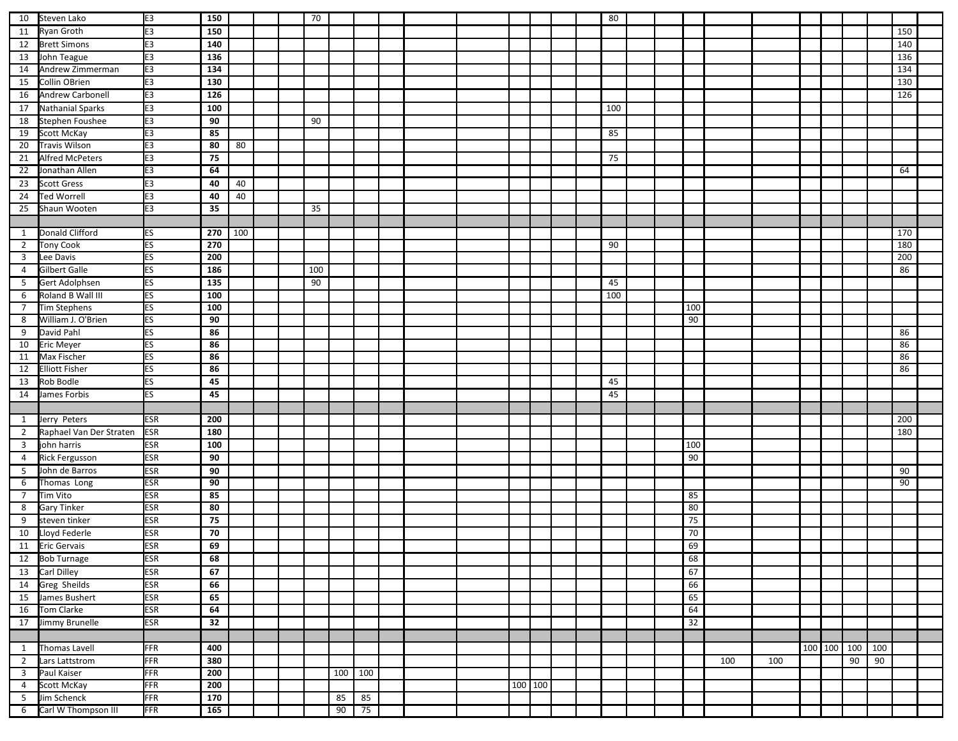| 10                      | Steven Lako             | E <sub>3</sub> | 150 |     |  | 70  |         |    |  |  |         |  | 80  |  |                 |     |     |  |             |     |     |  |
|-------------------------|-------------------------|----------------|-----|-----|--|-----|---------|----|--|--|---------|--|-----|--|-----------------|-----|-----|--|-------------|-----|-----|--|
| 11                      | Ryan Groth              | E <sub>3</sub> | 150 |     |  |     |         |    |  |  |         |  |     |  |                 |     |     |  |             |     | 150 |  |
| 12                      | <b>Brett Simons</b>     | E <sub>3</sub> | 140 |     |  |     |         |    |  |  |         |  |     |  |                 |     |     |  |             |     | 140 |  |
| 13                      | John Teague             | E <sub>3</sub> | 136 |     |  |     |         |    |  |  |         |  |     |  |                 |     |     |  |             |     | 136 |  |
| 14                      | Andrew Zimmerman        | E <sub>3</sub> | 134 |     |  |     |         |    |  |  |         |  |     |  |                 |     |     |  |             |     | 134 |  |
| 15                      | Collin OBrien           | E <sub>3</sub> | 130 |     |  |     |         |    |  |  |         |  |     |  |                 |     |     |  |             |     | 130 |  |
| 16                      | Andrew Carbonell        | E <sub>3</sub> | 126 |     |  |     |         |    |  |  |         |  |     |  |                 |     |     |  |             |     | 126 |  |
| 17                      | Nathanial Sparks        | E <sub>3</sub> | 100 |     |  |     |         |    |  |  |         |  | 100 |  |                 |     |     |  |             |     |     |  |
| 18                      | Stephen Foushee         | E <sub>3</sub> | 90  |     |  | 90  |         |    |  |  |         |  |     |  |                 |     |     |  |             |     |     |  |
| 19                      | Scott McKay             | E <sub>3</sub> | 85  |     |  |     |         |    |  |  |         |  | 85  |  |                 |     |     |  |             |     |     |  |
| 20                      | <b>Travis Wilson</b>    | E3             | 80  | 80  |  |     |         |    |  |  |         |  |     |  |                 |     |     |  |             |     |     |  |
| 21                      | Alfred McPeters         | E <sub>3</sub> | 75  |     |  |     |         |    |  |  |         |  | 75  |  |                 |     |     |  |             |     |     |  |
| 22                      | Jonathan Allen          | E <sub>3</sub> | 64  |     |  |     |         |    |  |  |         |  |     |  |                 |     |     |  |             |     | 64  |  |
| 23                      | <b>Scott Gress</b>      | E <sub>3</sub> | 40  | 40  |  |     |         |    |  |  |         |  |     |  |                 |     |     |  |             |     |     |  |
| 24                      | <b>Ted Worrell</b>      | E3             | 40  | 40  |  |     |         |    |  |  |         |  |     |  |                 |     |     |  |             |     |     |  |
| 25                      | Shaun Wooten            | E3             | 35  |     |  | 35  |         |    |  |  |         |  |     |  |                 |     |     |  |             |     |     |  |
|                         |                         |                |     |     |  |     |         |    |  |  |         |  |     |  |                 |     |     |  |             |     |     |  |
| $\mathbf{1}$            | <b>Donald Clifford</b>  | ES             | 270 | 100 |  |     |         |    |  |  |         |  |     |  |                 |     |     |  |             |     | 170 |  |
| $\overline{2}$          | <b>Tony Cook</b>        | ES             | 270 |     |  |     |         |    |  |  |         |  | 90  |  |                 |     |     |  |             |     | 180 |  |
| $\overline{\mathbf{3}}$ | Lee Davis               | ES             | 200 |     |  |     |         |    |  |  |         |  |     |  |                 |     |     |  |             |     | 200 |  |
| $\overline{4}$          | <b>Gilbert Galle</b>    | <b>ES</b>      | 186 |     |  | 100 |         |    |  |  |         |  |     |  |                 |     |     |  |             |     | 86  |  |
| 5                       | Gert Adolphsen          | <b>ES</b>      | 135 |     |  | 90  |         |    |  |  |         |  | 45  |  |                 |     |     |  |             |     |     |  |
| 6                       | Roland B Wall III       | <b>ES</b>      | 100 |     |  |     |         |    |  |  |         |  | 100 |  |                 |     |     |  |             |     |     |  |
| $7\overline{ }$         | Tim Stephens            | <b>ES</b>      | 100 |     |  |     |         |    |  |  |         |  |     |  | 100             |     |     |  |             |     |     |  |
| 8                       | William J. O'Brien      | <b>ES</b>      | 90  |     |  |     |         |    |  |  |         |  |     |  | 90              |     |     |  |             |     |     |  |
| 9                       | David Pahl              | <b>ES</b>      | 86  |     |  |     |         |    |  |  |         |  |     |  |                 |     |     |  |             |     | 86  |  |
| 10                      | <b>Eric Meyer</b>       | ES             | 86  |     |  |     |         |    |  |  |         |  |     |  |                 |     |     |  |             |     | 86  |  |
| 11                      | Max Fischer             | ES             | 86  |     |  |     |         |    |  |  |         |  |     |  |                 |     |     |  |             |     | 86  |  |
| 12                      | <b>Elliott Fisher</b>   | <b>ES</b>      | 86  |     |  |     |         |    |  |  |         |  |     |  |                 |     |     |  |             |     | 86  |  |
| 13                      | Rob Bodle               | <b>ES</b>      | 45  |     |  |     |         |    |  |  |         |  | 45  |  |                 |     |     |  |             |     |     |  |
| 14                      | James Forbis            | <b>ES</b>      | 45  |     |  |     |         |    |  |  |         |  | 45  |  |                 |     |     |  |             |     |     |  |
|                         |                         |                |     |     |  |     |         |    |  |  |         |  |     |  |                 |     |     |  |             |     |     |  |
| $\mathbf{1}$            | Jerry Peters            | <b>ESR</b>     | 200 |     |  |     |         |    |  |  |         |  |     |  |                 |     |     |  |             |     | 200 |  |
| $\overline{2}$          | Raphael Van Der Straten | <b>ESR</b>     | 180 |     |  |     |         |    |  |  |         |  |     |  |                 |     |     |  |             |     | 180 |  |
| $\overline{3}$          | john harris             | <b>ESR</b>     | 100 |     |  |     |         |    |  |  |         |  |     |  | 100             |     |     |  |             |     |     |  |
| $\overline{4}$          | <b>Rick Fergusson</b>   | <b>ESR</b>     | 90  |     |  |     |         |    |  |  |         |  |     |  | 90              |     |     |  |             |     |     |  |
| 5                       | John de Barros          | <b>ESR</b>     | 90  |     |  |     |         |    |  |  |         |  |     |  |                 |     |     |  |             |     | 90  |  |
| 6                       | Thomas Long             | <b>ESR</b>     | 90  |     |  |     |         |    |  |  |         |  |     |  |                 |     |     |  |             |     | 90  |  |
| $\overline{7}$          | Tim Vito                | <b>ESR</b>     | 85  |     |  |     |         |    |  |  |         |  |     |  | 85              |     |     |  |             |     |     |  |
| 8                       | <b>Gary Tinker</b>      | <b>ESR</b>     | 80  |     |  |     |         |    |  |  |         |  |     |  | 80              |     |     |  |             |     |     |  |
| 9                       | steven tinker           | <b>ESR</b>     | 75  |     |  |     |         |    |  |  |         |  |     |  | 75              |     |     |  |             |     |     |  |
| 10                      | Lloyd Federle           | <b>ESR</b>     | 70  |     |  |     |         |    |  |  |         |  |     |  | 70              |     |     |  |             |     |     |  |
| 11                      | <b>Eric Gervais</b>     | <b>ESR</b>     | 69  |     |  |     |         |    |  |  |         |  |     |  | 69              |     |     |  |             |     |     |  |
|                         | 12 Bob Turnage          | <b>ESR</b>     | 68  |     |  |     |         |    |  |  |         |  |     |  | 68              |     |     |  |             |     |     |  |
|                         | 13 Carl Dilley          | <b>ESR</b>     | 67  |     |  |     |         |    |  |  |         |  |     |  | 67              |     |     |  |             |     |     |  |
|                         | 14 Greg Sheilds         | <b>ESR</b>     | 66  |     |  |     |         |    |  |  |         |  |     |  | 66              |     |     |  |             |     |     |  |
| 15                      | James Bushert           | <b>ESR</b>     | 65  |     |  |     |         |    |  |  |         |  |     |  | 65              |     |     |  |             |     |     |  |
| 16                      | Tom Clarke              | <b>ESR</b>     | 64  |     |  |     |         |    |  |  |         |  |     |  | 64              |     |     |  |             |     |     |  |
| 17                      | Jimmy Brunelle          | <b>ESR</b>     | 32  |     |  |     |         |    |  |  |         |  |     |  | $\overline{32}$ |     |     |  |             |     |     |  |
|                         |                         |                |     |     |  |     |         |    |  |  |         |  |     |  |                 |     |     |  |             |     |     |  |
| 1                       | <b>Thomas Lavell</b>    | FFR            | 400 |     |  |     |         |    |  |  |         |  |     |  |                 |     |     |  | 100 100 100 | 100 |     |  |
| $\overline{2}$          | Lars Lattstrom          | <b>FFR</b>     | 380 |     |  |     |         |    |  |  |         |  |     |  |                 | 100 | 100 |  | 90          | 90  |     |  |
| $\overline{3}$          | Paul Kaiser             | <b>FFR</b>     | 200 |     |  |     | 100 100 |    |  |  |         |  |     |  |                 |     |     |  |             |     |     |  |
| $\overline{4}$          | Scott McKay             | FFR            | 200 |     |  |     |         |    |  |  | 100 100 |  |     |  |                 |     |     |  |             |     |     |  |
| 5 <sup>5</sup>          | Jim Schenck             | FFR            | 170 |     |  |     | 85      | 85 |  |  |         |  |     |  |                 |     |     |  |             |     |     |  |
| 6                       | Carl W Thompson III     | FFR            | 165 |     |  |     | 90      | 75 |  |  |         |  |     |  |                 |     |     |  |             |     |     |  |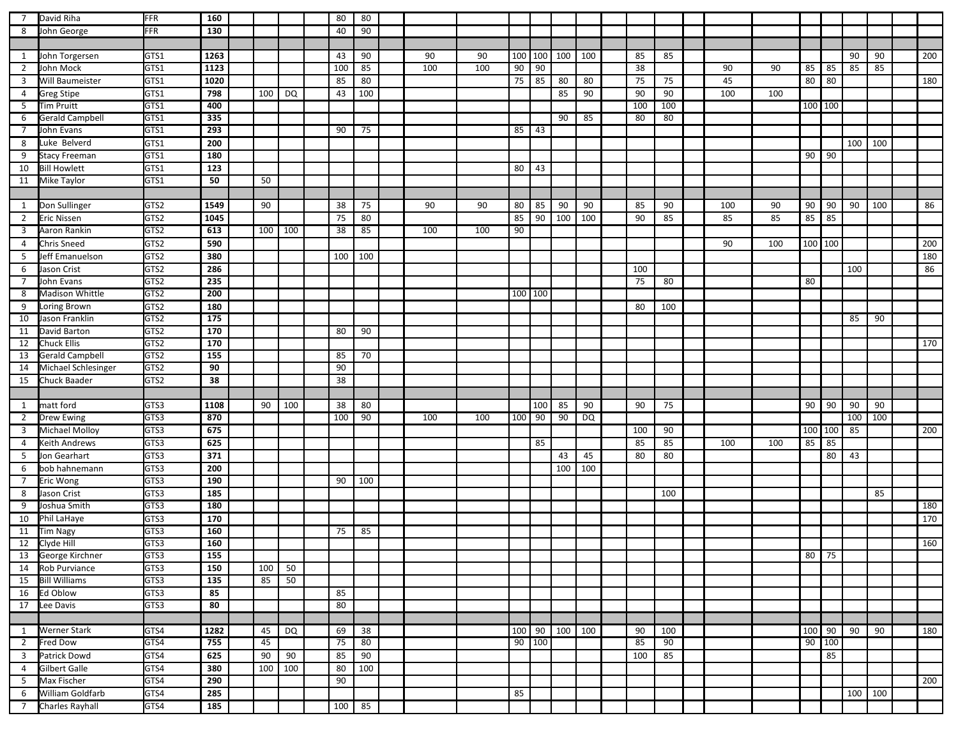| $7\overline{ }$ | David Riha                          | FFR          | 160              |     |           | 80  | 80  |     |     |         |             |     |                 |     |     |     |     |         |         |         |     |     |
|-----------------|-------------------------------------|--------------|------------------|-----|-----------|-----|-----|-----|-----|---------|-------------|-----|-----------------|-----|-----|-----|-----|---------|---------|---------|-----|-----|
| 8               | John George                         | FFR          | 130              |     |           | 40  | 90  |     |     |         |             |     |                 |     |     |     |     |         |         |         |     |     |
|                 |                                     |              |                  |     |           |     |     |     |     |         |             |     |                 |     |     |     |     |         |         |         |     |     |
| 1               | John Torgersen                      | GTS1         | 1263             |     |           | 43  | 90  | 90  | 90  |         | 100 100     | 100 | 100             | 85  | 85  |     |     |         |         | 90      | 90  | 200 |
| $\overline{2}$  | John Mock                           | GTS1         | 1123             |     |           | 100 | 85  | 100 | 100 | 90      | 90          |     |                 | 38  |     | 90  | 90  | 85      | 85      | 85      | 85  |     |
|                 | Will Baumeister                     | GTS1         | 1020             |     |           | 85  | 80  |     |     | 75      | 85          | 80  | 80              | 75  |     | 45  |     |         | 80 80   |         |     |     |
| $\overline{3}$  |                                     |              |                  |     |           |     |     |     |     |         |             |     |                 |     | 75  |     |     |         |         |         |     | 180 |
| $\overline{4}$  | <b>Greg Stipe</b>                   | GTS1         | 798              | 100 | <b>DQ</b> | 43  | 100 |     |     |         |             | 85  | 90              | 90  | 90  | 100 | 100 |         |         |         |     |     |
| 5 <sup>5</sup>  | <b>Tim Pruitt</b>                   | GTS1         | 400              |     |           |     |     |     |     |         |             |     |                 | 100 | 100 |     |     | 100 100 |         |         |     |     |
| 6               | <b>Gerald Campbell</b>              | GTS1         | 335              |     |           |     |     |     |     |         |             | 90  | 85              | 80  | 80  |     |     |         |         |         |     |     |
| 7               | John Evans                          | GTS1         | 293              |     |           | 90  | 75  |     |     | 85      | $\sqrt{43}$ |     |                 |     |     |     |     |         |         |         |     |     |
| 8               | Luke Belverd                        | GTS1         | 200              |     |           |     |     |     |     |         |             |     |                 |     |     |     |     |         |         | 100     | 100 |     |
| 9               | <b>Stacy Freeman</b>                | GTS1         | 180              |     |           |     |     |     |     |         |             |     |                 |     |     |     |     |         | $90$ 90 |         |     |     |
| 10              | <b>Bill Howlett</b>                 | GTS1         | 123              |     |           |     |     |     |     | 80      | 43          |     |                 |     |     |     |     |         |         |         |     |     |
| 11              | Mike Taylor                         | GTS1         | 50               | 50  |           |     |     |     |     |         |             |     |                 |     |     |     |     |         |         |         |     |     |
|                 |                                     |              |                  |     |           |     |     |     |     |         |             |     |                 |     |     |     |     |         |         |         |     |     |
| $\mathbf{1}$    | Don Sullinger                       | GTS2         | 1549             | 90  |           | 38  | 75  | 90  | 90  | 80      | 85          | 90  | 90              | 85  | 90  | 100 | 90  | 90      | 90      | 90      | 100 | 86  |
| $\overline{2}$  | <b>Eric Nissen</b>                  | GTS2         | 1045             |     |           | 75  | 80  |     |     | 85      | 90          | 100 | 100             | 90  | 85  | 85  | 85  | 85 85   |         |         |     |     |
| 3               | Aaron Rankin                        | GTS2         | 613              | 100 | 100       | 38  | 85  | 100 | 100 | 90      |             |     |                 |     |     |     |     |         |         |         |     |     |
| $\overline{4}$  | <b>Chris Sneed</b>                  | GTS2         | 590              |     |           |     |     |     |     |         |             |     |                 |     |     | 90  | 100 | 100 100 |         |         |     | 200 |
| 5               | Jeff Emanuelson                     | GTS2         | 380              |     |           | 100 | 100 |     |     |         |             |     |                 |     |     |     |     |         |         |         |     | 180 |
| 6               | Jason Crist                         | GTS2         | 286              |     |           |     |     |     |     |         |             |     |                 | 100 |     |     |     |         |         | 100     |     | 86  |
| $\overline{7}$  | John Evans                          | GTS2         | 235              |     |           |     |     |     |     |         |             |     |                 | 75  | 80  |     |     | 80      |         |         |     |     |
| 8               | Madison Whittle                     | GTS2         | 200              |     |           |     |     |     |     | 100 100 |             |     |                 |     |     |     |     |         |         |         |     |     |
|                 |                                     | GTS2         | 180              |     |           |     |     |     |     |         |             |     |                 | 80  | 100 |     |     |         |         |         |     |     |
| 9               | Loring Brown                        | GTS2         | $\overline{175}$ |     |           |     |     |     |     |         |             |     |                 |     |     |     |     |         |         |         |     |     |
| 10              | Jason Franklin                      |              |                  |     |           |     |     |     |     |         |             |     |                 |     |     |     |     |         |         | 85      | 90  |     |
| 11              | David Barton                        | GTS2<br>GTS2 | 170              |     |           | 80  | 90  |     |     |         |             |     |                 |     |     |     |     |         |         |         |     |     |
| 12              | <b>Chuck Ellis</b>                  |              | 170              |     |           |     |     |     |     |         |             |     |                 |     |     |     |     |         |         |         |     | 170 |
| 13              | <b>Gerald Campbell</b>              | GTS2         | 155              |     |           | 85  | 70  |     |     |         |             |     |                 |     |     |     |     |         |         |         |     |     |
| 14              | Michael Schlesinger                 | GTS2         | 90               |     |           | 90  |     |     |     |         |             |     |                 |     |     |     |     |         |         |         |     |     |
| 15              | Chuck Baader                        | GTS2         | 38               |     |           | 38  |     |     |     |         |             |     |                 |     |     |     |     |         |         |         |     |     |
|                 |                                     |              |                  |     |           |     |     |     |     |         |             |     |                 |     |     |     |     |         |         |         |     |     |
| 1               | matt ford                           | GTS3         | 1108             | 90  | 100       | 38  | 80  |     |     |         | 100         | 85  | 90              | 90  | 75  |     |     | 90      | 90      | 90      | 90  |     |
| $\overline{2}$  | <b>Drew Ewing</b>                   | GTS3         | 870              |     |           | 100 | 90  | 100 | 100 | 100     | 90          | 90  | $\overline{DQ}$ |     |     |     |     |         |         | 100     | 100 |     |
| $\overline{3}$  | Michael Molloy                      | GTS3         | 675              |     |           |     |     |     |     |         |             |     |                 | 100 | 90  |     |     |         | 100 100 | 85      |     | 200 |
| 4               | Keith Andrews                       | GTS3         | 625              |     |           |     |     |     |     |         | 85          |     |                 | 85  | 85  | 100 | 100 | 85      | 85      |         |     |     |
| 5               | Jon Gearhart                        | GTS3         | $\overline{371}$ |     |           |     |     |     |     |         |             | 43  | 45              | 80  | 80  |     |     |         | 80      | 43      |     |     |
| 6               | bob hahnemann                       | GTS3         | 200              |     |           |     |     |     |     |         |             | 100 | 100             |     |     |     |     |         |         |         |     |     |
| 7               | Eric Wong                           | GTS3         | 190              |     |           | 90  | 100 |     |     |         |             |     |                 |     |     |     |     |         |         |         |     |     |
| 8               | Jason Crist                         | GTS3         | 185              |     |           |     |     |     |     |         |             |     |                 |     | 100 |     |     |         |         |         | 85  |     |
| 9               | Joshua Smith                        | GTS3         | 180              |     |           |     |     |     |     |         |             |     |                 |     |     |     |     |         |         |         |     | 180 |
| 10              | Phil LaHaye                         | GTS3         | 170              |     |           |     |     |     |     |         |             |     |                 |     |     |     |     |         |         |         |     | 170 |
| 11              | <b>Tim Nagy</b>                     | GTS3         | 160              |     |           | 75  | 85  |     |     |         |             |     |                 |     |     |     |     |         |         |         |     |     |
| 12              | Clyde Hill                          | GTS3         | 160              |     |           |     |     |     |     |         |             |     |                 |     |     |     |     |         |         |         |     | 160 |
|                 |                                     |              |                  |     |           |     |     |     |     |         |             |     |                 |     |     |     |     |         | 80 75   |         |     |     |
|                 |                                     |              |                  |     |           |     |     |     |     |         |             |     |                 |     |     |     |     |         |         |         |     |     |
|                 | 13 George Kirchner                  | GTS3         | 155              |     |           |     |     |     |     |         |             |     |                 |     |     |     |     |         |         |         |     |     |
|                 | 14 Rob Purviance                    | GTS3         | 150              | 100 | 50        |     |     |     |     |         |             |     |                 |     |     |     |     |         |         |         |     |     |
| 15              | <b>Bill Williams</b>                | GTS3         | 135              | 85  | 50        |     |     |     |     |         |             |     |                 |     |     |     |     |         |         |         |     |     |
| 16              | Ed Oblow                            | GTS3         | 85               |     |           | 85  |     |     |     |         |             |     |                 |     |     |     |     |         |         |         |     |     |
| 17              | Lee Davis                           | GTS3         | 80               |     |           | 80  |     |     |     |         |             |     |                 |     |     |     |     |         |         |         |     |     |
|                 |                                     |              |                  |     |           |     |     |     |     |         |             |     |                 |     |     |     |     |         |         |         |     |     |
| $\mathbf{1}$    | <b>Werner Stark</b>                 | GTS4         | 1282             | 45  | DQ        | 69  | 38  |     |     | 100 90  |             | 100 | 100             | 90  | 100 |     |     | 100 90  |         | 90      | 90  | 180 |
| $\overline{2}$  | Fred Dow                            | GTS4         | 755              | 45  |           | 75  | 80  |     |     |         | 90 100      |     |                 | 85  | 90  |     |     |         | 90 100  |         |     |     |
| $\overline{3}$  | Patrick Dowd                        | GTS4         | 625              | 90  | 90        | 85  | 90  |     |     |         |             |     |                 | 100 | 85  |     |     |         | 85      |         |     |     |
| $\overline{4}$  | Gilbert Galle                       | GTS4         | 380              | 100 | 100       | 80  | 100 |     |     |         |             |     |                 |     |     |     |     |         |         |         |     |     |
| 5 <sub>1</sub>  | Max Fischer                         | GTS4         | 290              |     |           | 90  |     |     |     |         |             |     |                 |     |     |     |     |         |         |         |     | 200 |
| 6               | William Goldfarb<br>Charles Rayhall | GTS4<br>GTS4 | 285<br>185       |     |           |     |     |     |     | 85      |             |     |                 |     |     |     |     |         |         | 100 100 |     |     |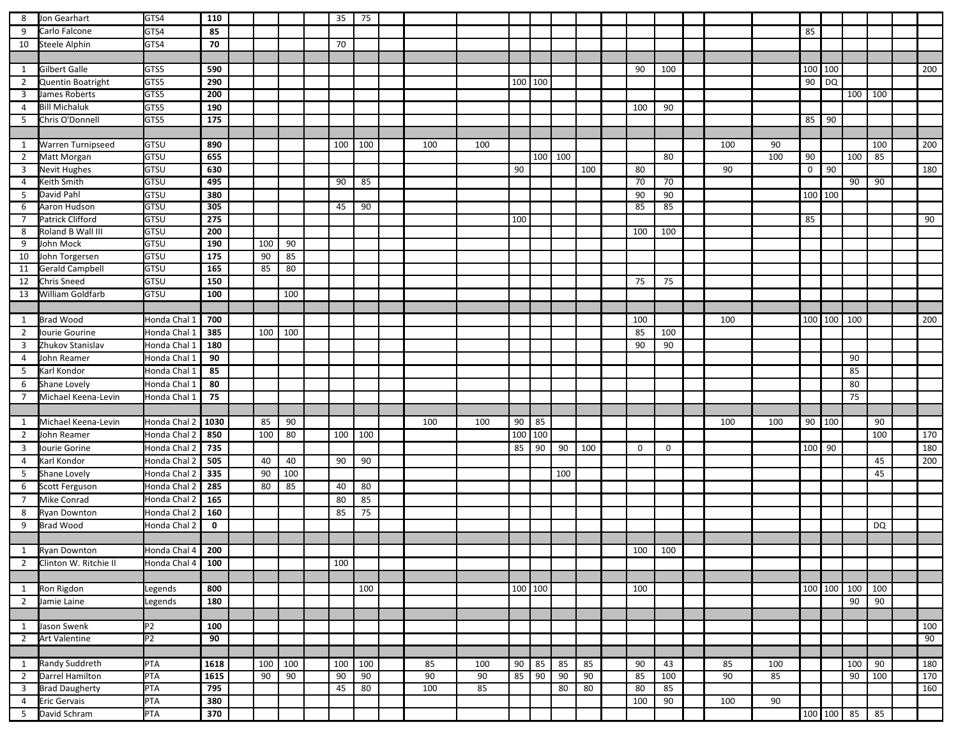| 8                       | Jon Gearhart           | GTS4           | 110              |     |     | 35  | 75  |     |     |     |                  |         |     |             |             |                 |     |              |            |             |     |     |
|-------------------------|------------------------|----------------|------------------|-----|-----|-----|-----|-----|-----|-----|------------------|---------|-----|-------------|-------------|-----------------|-----|--------------|------------|-------------|-----|-----|
| 9                       | Carlo Falcone          | GTS4           | 85               |     |     |     |     |     |     |     |                  |         |     |             |             |                 |     | 85           |            |             |     |     |
| 10                      | Steele Alphin          | GTS4           | 70               |     |     | 70  |     |     |     |     |                  |         |     |             |             |                 |     |              |            |             |     |     |
|                         |                        |                |                  |     |     |     |     |     |     |     |                  |         |     |             |             |                 |     |              |            |             |     |     |
| 1                       | Gilbert Galle          | GTS5           | 590              |     |     |     |     |     |     |     |                  |         |     | 90          | 100         |                 |     | 100 100      |            |             |     | 200 |
| $\overline{2}$          | Quentin Boatright      | GTS5           | 290              |     |     |     |     |     |     |     | $\sqrt{100}$ 100 |         |     |             |             |                 |     |              | 90 DQ      |             |     |     |
| $\overline{\mathbf{3}}$ | James Roberts          | GTS5           | 200              |     |     |     |     |     |     |     |                  |         |     |             |             |                 |     |              |            | 100         | 100 |     |
| $\overline{4}$          | <b>Bill Michaluk</b>   | GTS5           | 190              |     |     |     |     |     |     |     |                  |         |     | 100         | 90          |                 |     |              |            |             |     |     |
| 5                       | Chris O'Donnell        | GTS5           | 175              |     |     |     |     |     |     |     |                  |         |     |             |             |                 |     | 85 90        |            |             |     |     |
|                         |                        |                |                  |     |     |     |     |     |     |     |                  |         |     |             |             |                 |     |              |            |             |     |     |
| 1                       | Warren Turnipseed      | GTSU           | 890              |     |     | 100 | 100 | 100 | 100 |     |                  |         |     |             |             | 100             | 90  |              |            |             | 100 | 200 |
| $\overline{2}$          | Matt Morgan            | <b>GTSU</b>    | 655              |     |     |     |     |     |     |     |                  | 100 100 |     |             | 80          |                 | 100 | 90           |            | 100         | 85  |     |
| $\overline{3}$          | Nevit Hughes           | GTSU           | 630              |     |     |     |     |     |     | 90  |                  |         | 100 | 80          |             | 90              |     | $\mathbf{0}$ | 90         |             |     | 180 |
| 4                       | Keith Smith            | <b>GTSU</b>    | 495              |     |     | 90  | 85  |     |     |     |                  |         |     | 70          | 70          |                 |     |              |            | 90          | 90  |     |
| 5                       | David Pahl             | GTSU           | 380              |     |     |     |     |     |     |     |                  |         |     | 90          | 90          |                 |     | 100 100      |            |             |     |     |
| 6                       | Aaron Hudson           | <b>GTSU</b>    | 305              |     |     | 45  | 90  |     |     |     |                  |         |     | 85          | 85          |                 |     |              |            |             |     |     |
| $\overline{7}$          | Patrick Clifford       | <b>GTSU</b>    | 275              |     |     |     |     |     |     | 100 |                  |         |     |             |             |                 |     | 85           |            |             |     | 90  |
| 8                       | Roland B Wall III      | <b>GTSU</b>    | 200              |     |     |     |     |     |     |     |                  |         |     | 100         | 100         |                 |     |              |            |             |     |     |
| 9                       | John Mock              | GTSU           | 190              | 100 | 90  |     |     |     |     |     |                  |         |     |             |             |                 |     |              |            |             |     |     |
| 10                      | John Torgersen         | GTSU           | 175              | 90  | 85  |     |     |     |     |     |                  |         |     |             |             |                 |     |              |            |             |     |     |
| 11                      | <b>Gerald Campbell</b> | <b>GTSU</b>    | 165              | 85  | 80  |     |     |     |     |     |                  |         |     |             |             |                 |     |              |            |             |     |     |
| 12                      | Chris Sneed            | GTSU           | 150              |     |     |     |     |     |     |     |                  |         |     | 75          | 75          |                 |     |              |            |             |     |     |
| 13                      | William Goldfarb       | GTSU           | 100              |     | 100 |     |     |     |     |     |                  |         |     |             |             |                 |     |              |            |             |     |     |
|                         |                        |                |                  |     |     |     |     |     |     |     |                  |         |     |             |             |                 |     |              |            |             |     |     |
| 1                       | <b>Brad Wood</b>       | Honda Chal 1   | 700              |     |     |     |     |     |     |     |                  |         |     | 100         |             | 100             |     |              | 100 100    | 100         |     | 200 |
| $\overline{2}$          | Iourie Gourine         | Honda Chal 1   | 385              | 100 | 100 |     |     |     |     |     |                  |         |     | 85          | 100         |                 |     |              |            |             |     |     |
| 3                       | Zhukov Stanislav       | Honda Chal 1   | 180              |     |     |     |     |     |     |     |                  |         |     | 90          | 90          |                 |     |              |            |             |     |     |
| $\overline{4}$          | John Reamer            | Honda Chal 1   | 90               |     |     |     |     |     |     |     |                  |         |     |             |             |                 |     |              |            | 90          |     |     |
| 5                       | Karl Kondor            | Honda Chal 1   | 85               |     |     |     |     |     |     |     |                  |         |     |             |             |                 |     |              |            | 85          |     |     |
| 6                       | Shane Lovely           | Honda Chal 1   | 80               |     |     |     |     |     |     |     |                  |         |     |             |             |                 |     |              |            | 80          |     |     |
| $\overline{7}$          | Michael Keena-Levin    | Honda Chal 1   | 75               |     |     |     |     |     |     |     |                  |         |     |             |             |                 |     |              |            | 75          |     |     |
|                         |                        |                |                  |     |     |     |     |     |     |     |                  |         |     |             |             |                 |     |              |            |             |     |     |
| 1                       | Michael Keena-Levin    | Honda Chal 2   | 1030             | 85  | 90  |     |     | 100 | 100 | 90  | 85               |         |     |             |             | 100             | 100 |              | 90 100     |             | 90  |     |
| $\overline{2}$          | John Reamer            | Honda Chal 2   | 850              | 100 | 80  | 100 | 100 |     |     | 100 | 100              |         |     |             |             |                 |     |              |            |             | 100 | 170 |
| $\overline{3}$          | Iourie Gorine          | Honda Chal 2   | 735              |     |     |     |     |     |     | 85  | 90               | 90      | 100 | $\mathbf 0$ | $\mathbf 0$ |                 |     | 100 90       |            |             |     | 180 |
| $\overline{4}$          | Karl Kondor            | Honda Chal 2   | 505              | 40  | 40  | 90  | 90  |     |     |     |                  |         |     |             |             |                 |     |              |            |             | 45  | 200 |
| 5                       | Shane Lovely           | Honda Chal 2   | 335              | 90  | 100 |     |     |     |     |     |                  | 100     |     |             |             |                 |     |              |            |             | 45  |     |
| 6                       | Scott Ferguson         | Honda Chal 2   | 285              | 80  | 85  | 40  | 80  |     |     |     |                  |         |     |             |             |                 |     |              |            |             |     |     |
| $\overline{7}$          | Mike Conrad            | Honda Chal 2   | 165              |     |     | 80  | 85  |     |     |     |                  |         |     |             |             |                 |     |              |            |             |     |     |
| 8                       | <b>Ryan Downton</b>    | Honda Chal 2   | 160              |     |     | 85  | 75  |     |     |     |                  |         |     |             |             |                 |     |              |            |             |     |     |
| 9                       | <b>Brad Wood</b>       | Honda Chal 2   | $\mathbf 0$      |     |     |     |     |     |     |     |                  |         |     |             |             |                 |     |              |            |             | DQ  |     |
|                         |                        |                |                  |     |     |     |     |     |     |     |                  |         |     |             |             |                 |     |              |            |             |     |     |
| 1                       | <b>Ryan Downton</b>    | Honda Chal 4   | 200              |     |     |     |     |     |     |     |                  |         |     | 100         | 100         |                 |     |              |            |             |     |     |
| $\overline{2}$          | Clinton W. Ritchie II  | Honda Chal 4   | 100              |     |     | 100 |     |     |     |     |                  |         |     |             |             |                 |     |              |            |             |     |     |
|                         |                        |                |                  |     |     |     |     |     |     |     |                  |         |     |             |             |                 |     |              |            |             |     |     |
| 1                       | Ron Rigdon             | Legends        | 800              |     |     |     | 100 |     |     |     | 100   100        |         |     | 100         |             |                 |     |              | 100 100    | $\vert$ 100 | 100 |     |
| $\overline{2}$          | Jamie Laine            | Legends        | 180              |     |     |     |     |     |     |     |                  |         |     |             |             |                 |     |              |            | 90          | 90  |     |
|                         |                        |                |                  |     |     |     |     |     |     |     |                  |         |     |             |             |                 |     |              |            |             |     |     |
| 1                       | Jason Swenk            | P <sub>2</sub> | 100              |     |     |     |     |     |     |     |                  |         |     |             |             |                 |     |              |            |             |     | 100 |
| $\overline{2}$          | <b>Art Valentine</b>   | P2             | 90               |     |     |     |     |     |     |     |                  |         |     |             |             |                 |     |              |            |             |     | 90  |
|                         |                        |                |                  |     |     |     |     |     |     |     |                  |         |     |             |             |                 |     |              |            |             |     |     |
| $\mathbf{1}$            | Randy Suddreth         | PTA            | 1618             | 100 | 100 | 100 | 100 | 85  | 100 | 90  | 85               | 85      | 85  | 90          | 43          | 85              | 100 |              |            | 100         | 90  | 180 |
| $\overline{2}$          | Darrel Hamilton        | <b>PTA</b>     | 1615             | 90  | 90  | 90  | 90  | 90  | 90  | 85  | 90               | 90      | 90  | 85          | 100         | $\overline{90}$ | 85  |              |            | 90          | 100 | 170 |
| $\overline{3}$          | <b>Brad Daugherty</b>  | PTA            | 795              |     |     | 45  | 80  | 100 | 85  |     |                  | 80      | 80  | 80          | 85          |                 |     |              |            |             |     | 160 |
| $\overline{4}$          | <b>Eric Gervais</b>    | PTA            | 380              |     |     |     |     |     |     |     |                  |         |     | 100         | 90          | 100             | 90  |              |            |             |     |     |
| 5 <sup>5</sup>          | David Schram           | PTA            | $\overline{370}$ |     |     |     |     |     |     |     |                  |         |     |             |             |                 |     |              | 100 100 85 |             | 85  |     |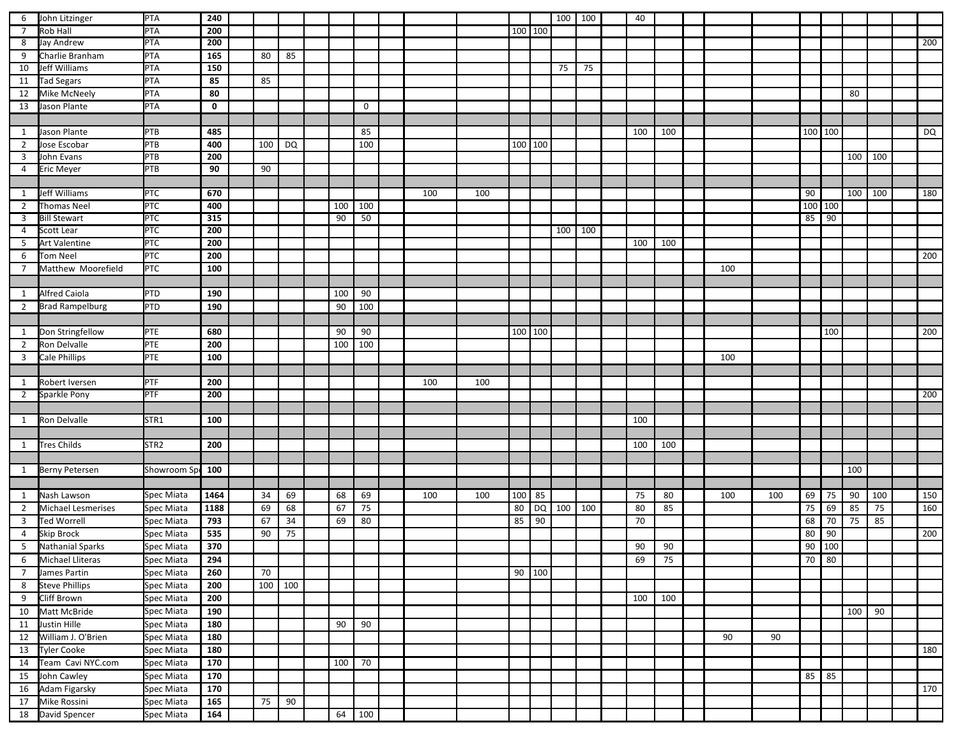| 6              | John Litzinger          | PTA              | 240             |     |         |     |             |     |     |           |           | 100 | 100 | 40  |     |     |     |         |     |     |     |     |
|----------------|-------------------------|------------------|-----------------|-----|---------|-----|-------------|-----|-----|-----------|-----------|-----|-----|-----|-----|-----|-----|---------|-----|-----|-----|-----|
| $\overline{7}$ | <b>Rob Hall</b>         | PTA              | 200             |     |         |     |             |     |     | 100   100 |           |     |     |     |     |     |     |         |     |     |     |     |
| 8              | Jay Andrew              | <b>PTA</b>       | 200             |     |         |     |             |     |     |           |           |     |     |     |     |     |     |         |     |     |     | 200 |
| 9              | Charlie Branham         | PTA              | 165             | 80  | 85      |     |             |     |     |           |           |     |     |     |     |     |     |         |     |     |     |     |
| 10             | Jeff Williams           | PTA              | 150             |     |         |     |             |     |     |           |           | 75  | 75  |     |     |     |     |         |     |     |     |     |
| 11             | <b>Tad Segars</b>       | PTA              | 85              | 85  |         |     |             |     |     |           |           |     |     |     |     |     |     |         |     |     |     |     |
| 12             | Mike McNeely            | <b>PTA</b>       | 80              |     |         |     |             |     |     |           |           |     |     |     |     |     |     |         |     | 80  |     |     |
| 13             | Jason Plante            | PTA              | $\mathbf 0$     |     |         |     | $\mathbf 0$ |     |     |           |           |     |     |     |     |     |     |         |     |     |     |     |
|                |                         |                  |                 |     |         |     |             |     |     |           |           |     |     |     |     |     |     |         |     |     |     |     |
| 1              | Jason Plante            | PTB              | 485             |     |         |     | 85          |     |     |           |           |     |     | 100 | 100 |     |     | 100 100 |     |     |     | DQ  |
| $\overline{2}$ | Jose Escobar            | PTB              | 400             | 100 | DQ      |     | 100         |     |     |           | 100   100 |     |     |     |     |     |     |         |     |     |     |     |
| 3              | John Evans              | PTB              | 200             |     |         |     |             |     |     |           |           |     |     |     |     |     |     |         |     | 100 | 100 |     |
| 4              | <b>Eric Meyer</b>       | <b>PTB</b>       | 90              | 90  |         |     |             |     |     |           |           |     |     |     |     |     |     |         |     |     |     |     |
|                |                         |                  |                 |     |         |     |             |     |     |           |           |     |     |     |     |     |     |         |     |     |     |     |
| $\mathbf{1}$   | Jeff Williams           | PTC              | 670             |     |         |     |             | 100 | 100 |           |           |     |     |     |     |     |     | 90      |     | 100 | 100 | 180 |
| $\overline{2}$ | Thomas Neel             | PTC              | 400             |     |         | 100 | 100         |     |     |           |           |     |     |     |     |     |     | 100 100 |     |     |     |     |
| 3              | <b>Bill Stewart</b>     | PTC              | 315             |     |         | 90  | 50          |     |     |           |           |     |     |     |     |     |     | 85 90   |     |     |     |     |
| 4              | Scott Lear              | <b>PTC</b>       | 200             |     |         |     |             |     |     |           |           | 100 | 100 |     |     |     |     |         |     |     |     |     |
| 5              | Art Valentine           | <b>PTC</b>       | 200             |     |         |     |             |     |     |           |           |     |     | 100 | 100 |     |     |         |     |     |     |     |
| 6              | <b>Tom Neel</b>         | PTC              | 200             |     |         |     |             |     |     |           |           |     |     |     |     |     |     |         |     |     |     | 200 |
| 7              | Matthew Moorefield      | PTC              | 100             |     |         |     |             |     |     |           |           |     |     |     |     | 100 |     |         |     |     |     |     |
|                |                         |                  |                 |     |         |     |             |     |     |           |           |     |     |     |     |     |     |         |     |     |     |     |
| $\mathbf{1}$   | <b>Alfred Caiola</b>    | PTD              | 190             |     |         | 100 | 90          |     |     |           |           |     |     |     |     |     |     |         |     |     |     |     |
| $\mathbf{2}$   | <b>Brad Rampelburg</b>  | PTD              | 190             |     |         | 90  | 100         |     |     |           |           |     |     |     |     |     |     |         |     |     |     |     |
|                |                         |                  |                 |     |         |     |             |     |     |           |           |     |     |     |     |     |     |         |     |     |     |     |
| 1              | Don Stringfellow        | PTE              | 680             |     |         | 90  | 90          |     |     |           | $100$ 100 |     |     |     |     |     |     |         | 100 |     |     | 200 |
| $\overline{2}$ | Ron Delvalle            | PTE              | 200             |     |         | 100 | 100         |     |     |           |           |     |     |     |     |     |     |         |     |     |     |     |
| 3              | <b>Cale Phillips</b>    | PTE              | 100             |     |         |     |             |     |     |           |           |     |     |     |     | 100 |     |         |     |     |     |     |
|                |                         |                  |                 |     |         |     |             |     |     |           |           |     |     |     |     |     |     |         |     |     |     |     |
| 1              | Robert Iversen          | PTF              | 200             |     |         |     |             | 100 | 100 |           |           |     |     |     |     |     |     |         |     |     |     |     |
| $\mathbf{2}$   | Sparkle Pony            | PTF              | 200             |     |         |     |             |     |     |           |           |     |     |     |     |     |     |         |     |     |     | 200 |
|                |                         |                  |                 |     |         |     |             |     |     |           |           |     |     |     |     |     |     |         |     |     |     |     |
| 1              | Ron Delvalle            | STR1             | 100             |     |         |     |             |     |     |           |           |     |     | 100 |     |     |     |         |     |     |     |     |
|                |                         |                  |                 |     |         |     |             |     |     |           |           |     |     |     |     |     |     |         |     |     |     |     |
| $\mathbf{1}$   | <b>Tres Childs</b>      | STR <sub>2</sub> | 200             |     |         |     |             |     |     |           |           |     |     | 100 | 100 |     |     |         |     |     |     |     |
|                |                         |                  |                 |     |         |     |             |     |     |           |           |     |     |     |     |     |     |         |     |     |     |     |
| 1              | <b>Berny Petersen</b>   | Showroom Sp      | 100             |     |         |     |             |     |     |           |           |     |     |     |     |     |     |         |     | 100 |     |     |
|                |                         |                  |                 |     |         |     |             |     |     |           |           |     |     |     |     |     |     |         |     |     |     |     |
| 1              | Nash Lawson             | Spec Miata       | 1464            | 34  | 69      | 68  | 69          | 100 | 100 | 100       | 85        |     |     | 75  | 80  | 100 | 100 | 69      | 75  | 90  | 100 | 150 |
| 2              | Michael Lesmerises      | Spec Miata       | 1188            | 69  | 68      | 67  | 75          |     |     | 80        | DQ        | 100 | 100 | 80  | 85  |     |     | 75      | 69  | 85  | 75  | 160 |
| 3              | <b>Ted Worrell</b>      | Spec Miata       | 793             | 67  | 34      | 69  | 80          |     |     | 85        | 90        |     |     | 70  |     |     |     | 68      | 70  | 75  | 85  |     |
| 4              | <b>Skip Brock</b>       | Spec Miata       | 535             | 90  | 75      |     |             |     |     |           |           |     |     |     |     |     |     | 80      | 90  |     |     | 200 |
| 5              | Nathanial Sparks        | Spec Miata       | 370             |     |         |     |             |     |     |           |           |     |     | 90  | 90  |     |     | 90      | 100 |     |     |     |
| 6              | <b>Michael Lliteras</b> | Spec Miata       | 294             |     |         |     |             |     |     |           |           |     |     | 69  | 75  |     |     | 70 80   |     |     |     |     |
| $\overline{7}$ | James Partin            | Spec Miata       | 260             | 70  |         |     |             |     |     |           | 90   100  |     |     |     |     |     |     |         |     |     |     |     |
| 8              | <b>Steve Phillips</b>   | Spec Miata       | 200             |     | 100 100 |     |             |     |     |           |           |     |     |     |     |     |     |         |     |     |     |     |
| 9              | Cliff Brown             | Spec Miata       | 200             |     |         |     |             |     |     |           |           |     |     | 100 | 100 |     |     |         |     |     |     |     |
| 10             | Matt McBride            | Spec Miata       | 190             |     |         |     |             |     |     |           |           |     |     |     |     |     |     |         |     | 100 | 90  |     |
| 11             | Justin Hille            | Spec Miata       | 180             |     |         | 90  | 90          |     |     |           |           |     |     |     |     |     |     |         |     |     |     |     |
| 12             | William J. O'Brien      | Spec Miata       | 180             |     |         |     |             |     |     |           |           |     |     |     |     | 90  | 90  |         |     |     |     |     |
| 13             | <b>Tyler Cooke</b>      | Spec Miata       | 180             |     |         |     |             |     |     |           |           |     |     |     |     |     |     |         |     |     |     | 180 |
| 14             | Team Cavi NYC.com       | Spec Miata       | 170             |     |         | 100 | 70          |     |     |           |           |     |     |     |     |     |     |         |     |     |     |     |
| 15             | John Cawley             | Spec Miata       | 170             |     |         |     |             |     |     |           |           |     |     |     |     |     |     | 85 85   |     |     |     |     |
| 16             | Adam Figarsky           | Spec Miata       | $\frac{170}{ }$ |     |         |     |             |     |     |           |           |     |     |     |     |     |     |         |     |     |     | 170 |
| 17             | Mike Rossini            | Spec Miata       | 165             | 75  | 90      |     |             |     |     |           |           |     |     |     |     |     |     |         |     |     |     |     |
|                | 18 David Spencer        | Spec Miata       | 164             |     |         | 64  | 100         |     |     |           |           |     |     |     |     |     |     |         |     |     |     |     |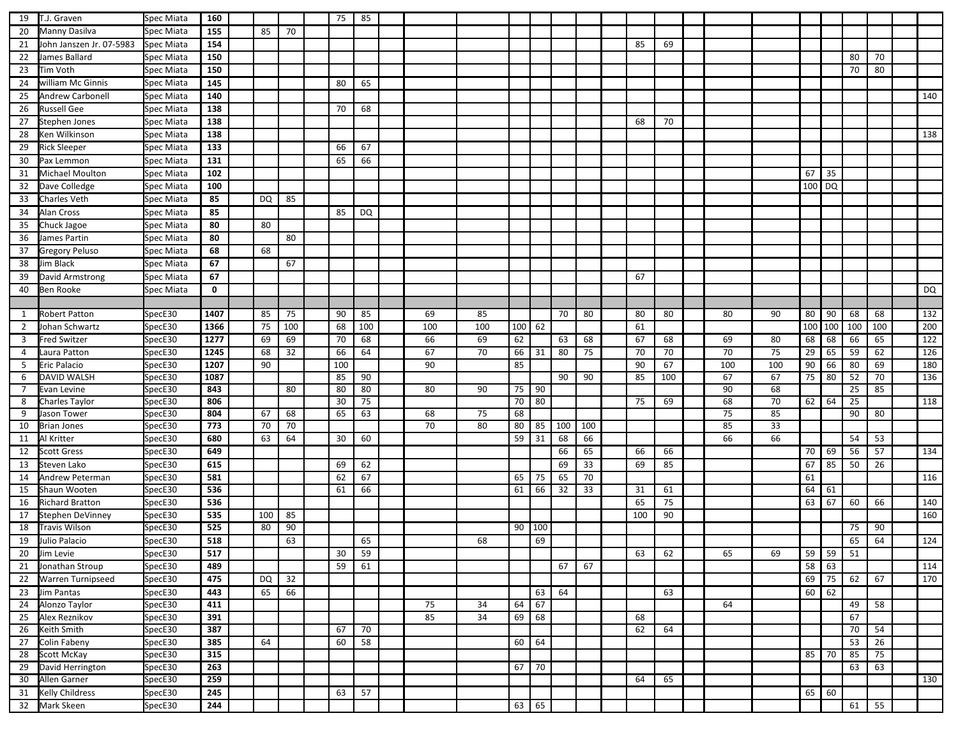| 19             | T.J. Graven              | Spec Miata               | 160         |     |     | 75  | 85              |     |     |     |              |     |     |     |     |     |     |        |                    |     |     |                  |
|----------------|--------------------------|--------------------------|-------------|-----|-----|-----|-----------------|-----|-----|-----|--------------|-----|-----|-----|-----|-----|-----|--------|--------------------|-----|-----|------------------|
| 20             | Manny Dasilva            | Spec Miata               | 155         | 85  | 70  |     |                 |     |     |     |              |     |     |     |     |     |     |        |                    |     |     |                  |
| 21             | John Janszen Jr. 07-5983 | Spec Miata               | 154         |     |     |     |                 |     |     |     |              |     |     | 85  | 69  |     |     |        |                    |     |     |                  |
| 22             | James Ballard            | Spec Miata               | 150         |     |     |     |                 |     |     |     |              |     |     |     |     |     |     |        |                    | 80  | 70  |                  |
| 23             | Tim Voth                 | Spec Miata               | 150         |     |     |     |                 |     |     |     |              |     |     |     |     |     |     |        |                    | 70  | 80  |                  |
| 24             | william Mc Ginnis        | Spec Miata               | 145         |     |     | 80  | 65              |     |     |     |              |     |     |     |     |     |     |        |                    |     |     |                  |
| 25             | <b>Andrew Carbonell</b>  | Spec Miata               | 140         |     |     |     |                 |     |     |     |              |     |     |     |     |     |     |        |                    |     |     | 140              |
| 26             | <b>Russell Gee</b>       | Spec Miata               | 138         |     |     | 70  | 68              |     |     |     |              |     |     |     |     |     |     |        |                    |     |     |                  |
| 27             | Stephen Jones            | Spec Miata               | 138         |     |     |     |                 |     |     |     |              |     |     | 68  | 70  |     |     |        |                    |     |     |                  |
| 28             |                          |                          | 138         |     |     |     |                 |     |     |     |              |     |     |     |     |     |     |        |                    |     |     | 138              |
|                | Ken Wilkinson            | Spec Miata<br>Spec Miata | 133         |     |     | 66  | 67              |     |     |     |              |     |     |     |     |     |     |        |                    |     |     |                  |
| 29             | <b>Rick Sleeper</b>      |                          |             |     |     |     |                 |     |     |     |              |     |     |     |     |     |     |        |                    |     |     |                  |
| 30             | Pax Lemmon               | Spec Miata               | 131         |     |     | 65  | 66              |     |     |     |              |     |     |     |     |     |     |        |                    |     |     |                  |
| 31             | Michael Moulton          | Spec Miata               | 102         |     |     |     |                 |     |     |     |              |     |     |     |     |     |     | 67     | 35                 |     |     |                  |
| 32             | Dave Colledge            | Spec Miata               | 100         |     |     |     |                 |     |     |     |              |     |     |     |     |     |     | 100 DQ |                    |     |     |                  |
| 33             | <b>Charles Veth</b>      | Spec Miata               | 85          | DQ  | 85  |     |                 |     |     |     |              |     |     |     |     |     |     |        |                    |     |     |                  |
| 34             | <b>Alan Cross</b>        | Spec Miata               | 85          |     |     | 85  | DQ              |     |     |     |              |     |     |     |     |     |     |        |                    |     |     |                  |
| 35             | Chuck Jagoe              | Spec Miata               | 80          | 80  |     |     |                 |     |     |     |              |     |     |     |     |     |     |        |                    |     |     |                  |
| 36             | James Partin             | Spec Miata               | 80          |     | 80  |     |                 |     |     |     |              |     |     |     |     |     |     |        |                    |     |     |                  |
| 37             | <b>Gregory Peluso</b>    | Spec Miata               | 68          | 68  |     |     |                 |     |     |     |              |     |     |     |     |     |     |        |                    |     |     |                  |
| 38             | Jim Black                | Spec Miata               | 67          |     | 67  |     |                 |     |     |     |              |     |     |     |     |     |     |        |                    |     |     |                  |
| 39             | David Armstrong          | Spec Miata               | 67          |     |     |     |                 |     |     |     |              |     |     | 67  |     |     |     |        |                    |     |     |                  |
| 40             | <b>Ben Rooke</b>         | Spec Miata               | $\mathbf 0$ |     |     |     |                 |     |     |     |              |     |     |     |     |     |     |        |                    |     |     | DQ               |
|                |                          |                          |             |     |     |     |                 |     |     |     |              |     |     |     |     |     |     |        |                    |     |     |                  |
| 1              | <b>Robert Patton</b>     | SpecE30                  | 1407        | 85  | 75  | 90  | 85              | 69  | 85  |     |              | 70  | 80  | 80  | 80  | 80  | 90  | 80     | 90                 | 68  | 68  | 132              |
| 2              | Johan Schwartz           | SpecE30                  | 1366        | 75  | 100 | 68  | 100             | 100 | 100 | 100 | 62           |     |     | 61  |     |     |     |        | 100 100            | 100 | 100 | 200              |
| 3              | <b>Fred Switzer</b>      | SpecE30                  | 1277        | 69  | 69  | 70  | 68              | 66  | 69  | 62  |              | 63  | 68  | 67  | 68  | 69  | 80  | 68     | 68                 | 66  | 65  | $\overline{122}$ |
| $\overline{4}$ | Laura Patton             | SpecE30                  | 1245        | 68  | 32  | 66  | 64              | 67  | 70  | 66  | 31           | 80  | 75  | 70  | 70  | 70  | 75  | 29     | 65                 | 59  | 62  | 126              |
| 5              | Eric Palacio             | SpecE30                  | 1207        | 90  |     | 100 |                 | 90  |     | 85  |              |     |     | 90  | 67  | 100 | 100 | 90     | 66                 | 80  | 69  | 180              |
| 6              | DAVID WALSH              | SpecE30                  | 1087        |     |     | 85  | 90              |     |     |     |              | 90  | 90  | 85  | 100 | 67  | 67  | 75     | 80                 | 52  | 70  | 136              |
| 7              | Evan Levine              | SpecE30                  | 843         |     | 80  | 80  | 80              | 80  | 90  | 75  | 90           |     |     |     |     | 90  | 68  |        |                    | 25  | 85  |                  |
| 8              | Charles Taylor           | SpecE30                  | 806         |     |     | 30  | 75              |     |     | 70  | 80           |     |     | 75  | 69  | 68  | 70  | 62     | 64                 | 25  |     | 118              |
| 9              | Jason Tower              | SpecE30                  | 804         | 67  | 68  | 65  | 63              | 68  | 75  | 68  |              |     |     |     |     | 75  | 85  |        |                    | 90  | 80  |                  |
| 10             | <b>Brian Jones</b>       | SpecE30                  | 773         | 70  | 70  |     |                 | 70  | 80  | 80  | 85           | 100 | 100 |     |     | 85  | 33  |        |                    |     |     |                  |
| 11             | Al Kritter               | SpecE30                  | 680         | 63  | 64  | 30  | 60              |     |     | 59  | 31           | 68  | 66  |     |     | 66  | 66  |        |                    | 54  | 53  |                  |
| 12             | <b>Scott Gress</b>       | SpecE30                  | 649         |     |     |     |                 |     |     |     |              | 66  | 65  | 66  | 66  |     |     | 70     | 69                 | 56  | 57  | 134              |
| 13             | Steven Lako              | SpecE30                  | 615         |     |     | 69  | 62              |     |     |     |              | 69  | 33  | 69  | 85  |     |     | 67     | 85                 | 50  | 26  |                  |
| 14             | Andrew Peterman          | SpecE30                  | 581         |     |     | 62  | 67              |     |     | 65  | 75           | 65  | 70  |     |     |     |     | 61     |                    |     |     | 116              |
| 15             | Shaun Wooten             | SpecE30                  | 536         |     |     | 61  | 66              |     |     | 61  | 66           | 32  | 33  | 31  | 61  |     |     | 64     | 61                 |     |     |                  |
| 16             | <b>Richard Bratton</b>   | SpecE30                  | 536         |     |     |     |                 |     |     |     |              |     |     | 65  | 75  |     |     | 63     | 67                 | 60  | 66  | 140              |
| 17             | Stephen DeVinney         | SpecE30                  | 535         | 100 | 85  |     |                 |     |     |     |              |     |     | 100 | 90  |     |     |        |                    |     |     | 160              |
| 18             | Travis Wilson            | SpecE30                  | 525         | 80  | 90  |     |                 |     |     | 90  | 100          |     |     |     |     |     |     |        |                    | 75  | 90  |                  |
| 19             | Julio Palacio            | SpecE30                  | 518         |     | 63  |     | 65              |     | 68  |     | 69           |     |     |     |     |     |     |        |                    | 65  | 64  | 124              |
|                | 20 Jim Levie             | SpecE30                  | 517         |     |     | 30  | 59              |     |     |     |              |     |     | 63  | 62  | 65  | 69  |        | $59$ 59            | 51  |     |                  |
| 21             | Jonathan Stroup          | SpecE30                  | 489         |     |     | 59  | 61              |     |     |     |              | 67  | 67  |     |     |     |     | 58     | 63                 |     |     | 114              |
|                | 22 Warren Turnipseed     | SpecE30                  | 475         | DQ  | 32  |     |                 |     |     |     |              |     |     |     |     |     |     |        | 69 75              | 62  | 67  | 170              |
|                | 23 Jim Pantas            | SpecE30                  | 443         | 65  | 66  |     |                 |     |     |     | 63           | 64  |     |     | 63  |     |     |        | $60 \overline{62}$ |     |     |                  |
| 24             | Alonzo Taylor            | SpecE30                  | 411         |     |     |     |                 | 75  | 34  | 64  | 67           |     |     |     |     | 64  |     |        |                    | 49  | 58  |                  |
| 25             | Alex Reznikov            | SpecE30                  | 391         |     |     |     |                 | 85  | 34  | 69  | 68           |     |     | 68  |     |     |     |        |                    | 67  |     |                  |
| 26             | Keith Smith              | SpecE30                  | 387         |     |     | 67  | $\overline{70}$ |     |     |     |              |     |     | 62  | 64  |     |     |        |                    | 70  | 54  |                  |
| 27             | Colin Fabeny             | SpecE30                  | 385         | 64  |     | 60  | 58              |     |     | 60  | 64           |     |     |     |     |     |     |        |                    | 53  | 26  |                  |
|                | 28 Scott McKay           | SpecE30                  | 315         |     |     |     |                 |     |     |     |              |     |     |     |     |     |     |        | 85 70              | 85  | 75  |                  |
| 29             | David Herrington         | SpecE30                  | 263         |     |     |     |                 |     |     |     | $67$ 70      |     |     |     |     |     |     |        |                    | 63  | 63  |                  |
|                | 30 Allen Garner          | SpecE30                  | 259         |     |     |     |                 |     |     |     |              |     |     | 64  | 65  |     |     |        |                    |     |     | 130              |
|                | 31 Kelly Childress       | SpecE30                  | 245         |     |     | 63  | 57              |     |     |     |              |     |     |     |     |     |     | 65     | 60                 |     |     |                  |
|                | 32 Mark Skeen            | SpecE30                  | 244         |     |     |     |                 |     |     |     | $63 \mid 65$ |     |     |     |     |     |     |        |                    | 61  | 55  |                  |
|                |                          |                          |             |     |     |     |                 |     |     |     |              |     |     |     |     |     |     |        |                    |     |     |                  |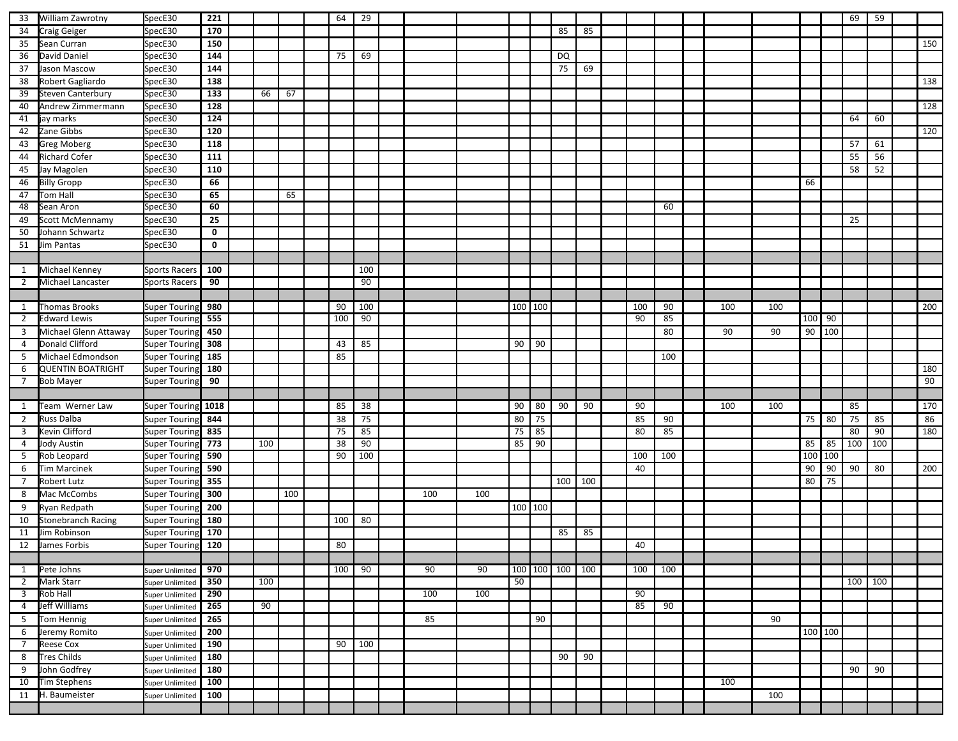| 85<br>SpecE30<br>170<br>85<br>34<br>Craig Geiger<br>150<br>150<br>35<br>Sean Curran<br>SpecE30<br>36<br>144<br>David Daniel<br>SpecE30<br>69<br>DQ<br>75<br>144<br>75<br>37<br>Jason Mascow<br>SpecE30<br>69<br>138<br>138<br>38<br>Robert Gagliardo<br>SpecE30<br>133<br>39<br>Steven Canterbury<br>SpecE30<br>67<br>66<br>$\frac{128}{ }$<br>SpecE30<br>128<br>40<br>Andrew Zimmermann<br>124<br>60<br>jay marks<br>SpecE30<br>64<br>41<br>120<br>Zane Gibbs<br>SpecE30<br>120<br>42<br>118<br>43<br><b>Greg Moberg</b><br>SpecE30<br>57<br>61<br>55<br><b>Richard Cofer</b><br>111<br>56<br>SpecE30<br>44<br>58<br>110<br>52<br>Jay Magolen<br>SpecE30<br>45<br>66<br><b>Billy Gropp</b><br>66<br>SpecE30<br>46<br>47<br>65<br>65<br>Tom Hall<br>SpecE30<br>60<br>Sean Aron<br>SpecE30<br>60<br>48<br>Scott McMennamy<br>25<br>25<br>SpecE30<br>49<br>$\mathbf 0$<br>50<br>Johann Schwartz<br>SpecE30<br>51<br>Jim Pantas<br>SpecE30<br>$\mathbf 0$<br>Michael Kenney<br>100<br>100<br>1<br><b>Sports Racers</b><br>90<br>90<br>$\overline{2}$<br>Michael Lancaster<br><b>Sports Racers</b><br>980<br>100<br>100 100<br>200<br>Thomas Brooks<br><b>Super Touring</b><br>90<br>100<br>90<br>100<br>100<br>1<br>555<br>100<br>90<br>100 90<br><b>Edward Lewis</b><br>Super Touring<br>90<br>85<br>$\overline{2}$<br>90 100<br>450<br>90<br>3<br>Michael Glenn Attaway<br><b>Super Touring</b><br>80<br>90<br>Donald Clifford<br>308<br>85<br>90<br>90<br>Super Touring<br>43<br>4<br>Michael Edmondson<br>185<br>85<br>100<br>5<br>Super Tourin<br><b>QUENTIN BOATRIGHT</b><br>180<br>180<br>6<br>Super Touring<br>90<br>90<br><b>Bob Mayer</b><br>7<br><b>Super Touring</b><br>90<br>1018<br>38<br>90<br>80<br>90<br>85<br>Team Werner Law<br>Super Touring<br>85<br>90<br>100<br>100<br>1<br>80<br>75<br>75 80<br>75<br>Russ Dalba<br>75<br>85<br>85<br>86<br>$\overline{2}$<br><b>Super Touring</b><br>844<br>38<br>90<br>85<br>85<br>835<br>75<br>75<br>80<br>85<br>80<br>90<br>180<br>$\overline{3}$<br>Kevin Clifford<br><b>Super Touring</b><br>90<br>90<br>100<br>100<br>773<br>100<br>38<br>85<br>$85$ 85<br>Jody Austin<br>Super Tourin<br>4<br>100 100<br>590<br>90<br>100<br>5<br>Rob Leopard<br>100<br>100<br><b>Super Touring</b><br>590<br>90<br>90<br>90<br>80<br>6<br><b>Tim Marcinek</b><br>40<br><b>Super Touring</b><br>355<br>80<br>75<br>Robert Lutz<br>100<br>100<br>$\overline{7}$<br><b>Super Touring</b><br>300<br>100<br>100<br>100<br>Mac McCombs<br>8<br>Super Touring<br>200<br>100 100<br>9<br>Ryan Redpath<br><b>Super Touring</b><br>180<br>80<br><b>Stonebranch Racing</b><br>100<br>10<br>Super Touring<br>170<br>Jim Robinson<br>85<br>85<br>11<br><b>Super Touring</b><br>120<br>80<br>40<br>James Forbis<br>12<br>Super Touring<br>90<br>90<br>90<br>100 100 100<br>100<br>100<br>Pete Johns<br>970<br>100<br>100<br>1<br>Super Unlimited<br>50<br>350<br>100<br>100<br>100<br><b>Mark Starr</b><br>$\overline{2}$<br>Super Unlimited<br>290<br>100<br>100<br>90<br>$\overline{\mathbf{3}}$<br>Rob Hall<br>Super Unlimited<br>265<br>90<br>85<br>90<br>Jeff Williams<br>4<br>Super Unlimited<br>265<br>90<br>Tom Hennig<br>85<br>90<br>5<br>Super Unlimited<br>100 100<br>200<br>Jeremy Romito<br>6<br>Super Unlimited<br>190<br>90<br>100<br>$\overline{7}$<br><b>Reese Cox</b><br><b>Super Unlimited</b><br>180<br>90<br>8<br><b>Tres Childs</b><br>90<br><b>Super Unlimited</b><br>180<br>90<br>90<br>John Godfrey<br>9<br>Super Unlimited<br>100<br>100<br>Tim Stephens<br>10<br><b>Super Unlimited</b><br>100<br>H. Baumeister<br>100<br>11<br>Super Unlimited | 33 | William Zawrotny | SpecE30 | 221 |  |  | 64 | 29 |  |  |  |  |  |  |  | 69 | 59 |     |
|------------------------------------------------------------------------------------------------------------------------------------------------------------------------------------------------------------------------------------------------------------------------------------------------------------------------------------------------------------------------------------------------------------------------------------------------------------------------------------------------------------------------------------------------------------------------------------------------------------------------------------------------------------------------------------------------------------------------------------------------------------------------------------------------------------------------------------------------------------------------------------------------------------------------------------------------------------------------------------------------------------------------------------------------------------------------------------------------------------------------------------------------------------------------------------------------------------------------------------------------------------------------------------------------------------------------------------------------------------------------------------------------------------------------------------------------------------------------------------------------------------------------------------------------------------------------------------------------------------------------------------------------------------------------------------------------------------------------------------------------------------------------------------------------------------------------------------------------------------------------------------------------------------------------------------------------------------------------------------------------------------------------------------------------------------------------------------------------------------------------------------------------------------------------------------------------------------------------------------------------------------------------------------------------------------------------------------------------------------------------------------------------------------------------------------------------------------------------------------------------------------------------------------------------------------------------------------------------------------------------------------------------------------------------------------------------------------------------------------------------------------------------------------------------------------------------------------------------------------------------------------------------------------------------------------------------------------------------------------------------------------------------------------------------------------------------------------------------------------------------------------------------------------------------------------------------------------------------------------------------------------------------------------------------------------------------------------------------------------------------------------------------------------------------------------------------------------------------------------------------------------------------------------------------------------------------------------------------------------|----|------------------|---------|-----|--|--|----|----|--|--|--|--|--|--|--|----|----|-----|
|                                                                                                                                                                                                                                                                                                                                                                                                                                                                                                                                                                                                                                                                                                                                                                                                                                                                                                                                                                                                                                                                                                                                                                                                                                                                                                                                                                                                                                                                                                                                                                                                                                                                                                                                                                                                                                                                                                                                                                                                                                                                                                                                                                                                                                                                                                                                                                                                                                                                                                                                                                                                                                                                                                                                                                                                                                                                                                                                                                                                                                                                                                                                                                                                                                                                                                                                                                                                                                                                                                                                                                                                            |    |                  |         |     |  |  |    |    |  |  |  |  |  |  |  |    |    |     |
|                                                                                                                                                                                                                                                                                                                                                                                                                                                                                                                                                                                                                                                                                                                                                                                                                                                                                                                                                                                                                                                                                                                                                                                                                                                                                                                                                                                                                                                                                                                                                                                                                                                                                                                                                                                                                                                                                                                                                                                                                                                                                                                                                                                                                                                                                                                                                                                                                                                                                                                                                                                                                                                                                                                                                                                                                                                                                                                                                                                                                                                                                                                                                                                                                                                                                                                                                                                                                                                                                                                                                                                                            |    |                  |         |     |  |  |    |    |  |  |  |  |  |  |  |    |    |     |
|                                                                                                                                                                                                                                                                                                                                                                                                                                                                                                                                                                                                                                                                                                                                                                                                                                                                                                                                                                                                                                                                                                                                                                                                                                                                                                                                                                                                                                                                                                                                                                                                                                                                                                                                                                                                                                                                                                                                                                                                                                                                                                                                                                                                                                                                                                                                                                                                                                                                                                                                                                                                                                                                                                                                                                                                                                                                                                                                                                                                                                                                                                                                                                                                                                                                                                                                                                                                                                                                                                                                                                                                            |    |                  |         |     |  |  |    |    |  |  |  |  |  |  |  |    |    |     |
|                                                                                                                                                                                                                                                                                                                                                                                                                                                                                                                                                                                                                                                                                                                                                                                                                                                                                                                                                                                                                                                                                                                                                                                                                                                                                                                                                                                                                                                                                                                                                                                                                                                                                                                                                                                                                                                                                                                                                                                                                                                                                                                                                                                                                                                                                                                                                                                                                                                                                                                                                                                                                                                                                                                                                                                                                                                                                                                                                                                                                                                                                                                                                                                                                                                                                                                                                                                                                                                                                                                                                                                                            |    |                  |         |     |  |  |    |    |  |  |  |  |  |  |  |    |    |     |
|                                                                                                                                                                                                                                                                                                                                                                                                                                                                                                                                                                                                                                                                                                                                                                                                                                                                                                                                                                                                                                                                                                                                                                                                                                                                                                                                                                                                                                                                                                                                                                                                                                                                                                                                                                                                                                                                                                                                                                                                                                                                                                                                                                                                                                                                                                                                                                                                                                                                                                                                                                                                                                                                                                                                                                                                                                                                                                                                                                                                                                                                                                                                                                                                                                                                                                                                                                                                                                                                                                                                                                                                            |    |                  |         |     |  |  |    |    |  |  |  |  |  |  |  |    |    |     |
|                                                                                                                                                                                                                                                                                                                                                                                                                                                                                                                                                                                                                                                                                                                                                                                                                                                                                                                                                                                                                                                                                                                                                                                                                                                                                                                                                                                                                                                                                                                                                                                                                                                                                                                                                                                                                                                                                                                                                                                                                                                                                                                                                                                                                                                                                                                                                                                                                                                                                                                                                                                                                                                                                                                                                                                                                                                                                                                                                                                                                                                                                                                                                                                                                                                                                                                                                                                                                                                                                                                                                                                                            |    |                  |         |     |  |  |    |    |  |  |  |  |  |  |  |    |    |     |
|                                                                                                                                                                                                                                                                                                                                                                                                                                                                                                                                                                                                                                                                                                                                                                                                                                                                                                                                                                                                                                                                                                                                                                                                                                                                                                                                                                                                                                                                                                                                                                                                                                                                                                                                                                                                                                                                                                                                                                                                                                                                                                                                                                                                                                                                                                                                                                                                                                                                                                                                                                                                                                                                                                                                                                                                                                                                                                                                                                                                                                                                                                                                                                                                                                                                                                                                                                                                                                                                                                                                                                                                            |    |                  |         |     |  |  |    |    |  |  |  |  |  |  |  |    |    |     |
|                                                                                                                                                                                                                                                                                                                                                                                                                                                                                                                                                                                                                                                                                                                                                                                                                                                                                                                                                                                                                                                                                                                                                                                                                                                                                                                                                                                                                                                                                                                                                                                                                                                                                                                                                                                                                                                                                                                                                                                                                                                                                                                                                                                                                                                                                                                                                                                                                                                                                                                                                                                                                                                                                                                                                                                                                                                                                                                                                                                                                                                                                                                                                                                                                                                                                                                                                                                                                                                                                                                                                                                                            |    |                  |         |     |  |  |    |    |  |  |  |  |  |  |  |    |    |     |
|                                                                                                                                                                                                                                                                                                                                                                                                                                                                                                                                                                                                                                                                                                                                                                                                                                                                                                                                                                                                                                                                                                                                                                                                                                                                                                                                                                                                                                                                                                                                                                                                                                                                                                                                                                                                                                                                                                                                                                                                                                                                                                                                                                                                                                                                                                                                                                                                                                                                                                                                                                                                                                                                                                                                                                                                                                                                                                                                                                                                                                                                                                                                                                                                                                                                                                                                                                                                                                                                                                                                                                                                            |    |                  |         |     |  |  |    |    |  |  |  |  |  |  |  |    |    |     |
|                                                                                                                                                                                                                                                                                                                                                                                                                                                                                                                                                                                                                                                                                                                                                                                                                                                                                                                                                                                                                                                                                                                                                                                                                                                                                                                                                                                                                                                                                                                                                                                                                                                                                                                                                                                                                                                                                                                                                                                                                                                                                                                                                                                                                                                                                                                                                                                                                                                                                                                                                                                                                                                                                                                                                                                                                                                                                                                                                                                                                                                                                                                                                                                                                                                                                                                                                                                                                                                                                                                                                                                                            |    |                  |         |     |  |  |    |    |  |  |  |  |  |  |  |    |    |     |
|                                                                                                                                                                                                                                                                                                                                                                                                                                                                                                                                                                                                                                                                                                                                                                                                                                                                                                                                                                                                                                                                                                                                                                                                                                                                                                                                                                                                                                                                                                                                                                                                                                                                                                                                                                                                                                                                                                                                                                                                                                                                                                                                                                                                                                                                                                                                                                                                                                                                                                                                                                                                                                                                                                                                                                                                                                                                                                                                                                                                                                                                                                                                                                                                                                                                                                                                                                                                                                                                                                                                                                                                            |    |                  |         |     |  |  |    |    |  |  |  |  |  |  |  |    |    |     |
|                                                                                                                                                                                                                                                                                                                                                                                                                                                                                                                                                                                                                                                                                                                                                                                                                                                                                                                                                                                                                                                                                                                                                                                                                                                                                                                                                                                                                                                                                                                                                                                                                                                                                                                                                                                                                                                                                                                                                                                                                                                                                                                                                                                                                                                                                                                                                                                                                                                                                                                                                                                                                                                                                                                                                                                                                                                                                                                                                                                                                                                                                                                                                                                                                                                                                                                                                                                                                                                                                                                                                                                                            |    |                  |         |     |  |  |    |    |  |  |  |  |  |  |  |    |    |     |
|                                                                                                                                                                                                                                                                                                                                                                                                                                                                                                                                                                                                                                                                                                                                                                                                                                                                                                                                                                                                                                                                                                                                                                                                                                                                                                                                                                                                                                                                                                                                                                                                                                                                                                                                                                                                                                                                                                                                                                                                                                                                                                                                                                                                                                                                                                                                                                                                                                                                                                                                                                                                                                                                                                                                                                                                                                                                                                                                                                                                                                                                                                                                                                                                                                                                                                                                                                                                                                                                                                                                                                                                            |    |                  |         |     |  |  |    |    |  |  |  |  |  |  |  |    |    |     |
|                                                                                                                                                                                                                                                                                                                                                                                                                                                                                                                                                                                                                                                                                                                                                                                                                                                                                                                                                                                                                                                                                                                                                                                                                                                                                                                                                                                                                                                                                                                                                                                                                                                                                                                                                                                                                                                                                                                                                                                                                                                                                                                                                                                                                                                                                                                                                                                                                                                                                                                                                                                                                                                                                                                                                                                                                                                                                                                                                                                                                                                                                                                                                                                                                                                                                                                                                                                                                                                                                                                                                                                                            |    |                  |         |     |  |  |    |    |  |  |  |  |  |  |  |    |    |     |
|                                                                                                                                                                                                                                                                                                                                                                                                                                                                                                                                                                                                                                                                                                                                                                                                                                                                                                                                                                                                                                                                                                                                                                                                                                                                                                                                                                                                                                                                                                                                                                                                                                                                                                                                                                                                                                                                                                                                                                                                                                                                                                                                                                                                                                                                                                                                                                                                                                                                                                                                                                                                                                                                                                                                                                                                                                                                                                                                                                                                                                                                                                                                                                                                                                                                                                                                                                                                                                                                                                                                                                                                            |    |                  |         |     |  |  |    |    |  |  |  |  |  |  |  |    |    |     |
|                                                                                                                                                                                                                                                                                                                                                                                                                                                                                                                                                                                                                                                                                                                                                                                                                                                                                                                                                                                                                                                                                                                                                                                                                                                                                                                                                                                                                                                                                                                                                                                                                                                                                                                                                                                                                                                                                                                                                                                                                                                                                                                                                                                                                                                                                                                                                                                                                                                                                                                                                                                                                                                                                                                                                                                                                                                                                                                                                                                                                                                                                                                                                                                                                                                                                                                                                                                                                                                                                                                                                                                                            |    |                  |         |     |  |  |    |    |  |  |  |  |  |  |  |    |    |     |
|                                                                                                                                                                                                                                                                                                                                                                                                                                                                                                                                                                                                                                                                                                                                                                                                                                                                                                                                                                                                                                                                                                                                                                                                                                                                                                                                                                                                                                                                                                                                                                                                                                                                                                                                                                                                                                                                                                                                                                                                                                                                                                                                                                                                                                                                                                                                                                                                                                                                                                                                                                                                                                                                                                                                                                                                                                                                                                                                                                                                                                                                                                                                                                                                                                                                                                                                                                                                                                                                                                                                                                                                            |    |                  |         |     |  |  |    |    |  |  |  |  |  |  |  |    |    |     |
|                                                                                                                                                                                                                                                                                                                                                                                                                                                                                                                                                                                                                                                                                                                                                                                                                                                                                                                                                                                                                                                                                                                                                                                                                                                                                                                                                                                                                                                                                                                                                                                                                                                                                                                                                                                                                                                                                                                                                                                                                                                                                                                                                                                                                                                                                                                                                                                                                                                                                                                                                                                                                                                                                                                                                                                                                                                                                                                                                                                                                                                                                                                                                                                                                                                                                                                                                                                                                                                                                                                                                                                                            |    |                  |         |     |  |  |    |    |  |  |  |  |  |  |  |    |    |     |
|                                                                                                                                                                                                                                                                                                                                                                                                                                                                                                                                                                                                                                                                                                                                                                                                                                                                                                                                                                                                                                                                                                                                                                                                                                                                                                                                                                                                                                                                                                                                                                                                                                                                                                                                                                                                                                                                                                                                                                                                                                                                                                                                                                                                                                                                                                                                                                                                                                                                                                                                                                                                                                                                                                                                                                                                                                                                                                                                                                                                                                                                                                                                                                                                                                                                                                                                                                                                                                                                                                                                                                                                            |    |                  |         |     |  |  |    |    |  |  |  |  |  |  |  |    |    |     |
|                                                                                                                                                                                                                                                                                                                                                                                                                                                                                                                                                                                                                                                                                                                                                                                                                                                                                                                                                                                                                                                                                                                                                                                                                                                                                                                                                                                                                                                                                                                                                                                                                                                                                                                                                                                                                                                                                                                                                                                                                                                                                                                                                                                                                                                                                                                                                                                                                                                                                                                                                                                                                                                                                                                                                                                                                                                                                                                                                                                                                                                                                                                                                                                                                                                                                                                                                                                                                                                                                                                                                                                                            |    |                  |         |     |  |  |    |    |  |  |  |  |  |  |  |    |    |     |
|                                                                                                                                                                                                                                                                                                                                                                                                                                                                                                                                                                                                                                                                                                                                                                                                                                                                                                                                                                                                                                                                                                                                                                                                                                                                                                                                                                                                                                                                                                                                                                                                                                                                                                                                                                                                                                                                                                                                                                                                                                                                                                                                                                                                                                                                                                                                                                                                                                                                                                                                                                                                                                                                                                                                                                                                                                                                                                                                                                                                                                                                                                                                                                                                                                                                                                                                                                                                                                                                                                                                                                                                            |    |                  |         |     |  |  |    |    |  |  |  |  |  |  |  |    |    |     |
|                                                                                                                                                                                                                                                                                                                                                                                                                                                                                                                                                                                                                                                                                                                                                                                                                                                                                                                                                                                                                                                                                                                                                                                                                                                                                                                                                                                                                                                                                                                                                                                                                                                                                                                                                                                                                                                                                                                                                                                                                                                                                                                                                                                                                                                                                                                                                                                                                                                                                                                                                                                                                                                                                                                                                                                                                                                                                                                                                                                                                                                                                                                                                                                                                                                                                                                                                                                                                                                                                                                                                                                                            |    |                  |         |     |  |  |    |    |  |  |  |  |  |  |  |    |    |     |
|                                                                                                                                                                                                                                                                                                                                                                                                                                                                                                                                                                                                                                                                                                                                                                                                                                                                                                                                                                                                                                                                                                                                                                                                                                                                                                                                                                                                                                                                                                                                                                                                                                                                                                                                                                                                                                                                                                                                                                                                                                                                                                                                                                                                                                                                                                                                                                                                                                                                                                                                                                                                                                                                                                                                                                                                                                                                                                                                                                                                                                                                                                                                                                                                                                                                                                                                                                                                                                                                                                                                                                                                            |    |                  |         |     |  |  |    |    |  |  |  |  |  |  |  |    |    |     |
|                                                                                                                                                                                                                                                                                                                                                                                                                                                                                                                                                                                                                                                                                                                                                                                                                                                                                                                                                                                                                                                                                                                                                                                                                                                                                                                                                                                                                                                                                                                                                                                                                                                                                                                                                                                                                                                                                                                                                                                                                                                                                                                                                                                                                                                                                                                                                                                                                                                                                                                                                                                                                                                                                                                                                                                                                                                                                                                                                                                                                                                                                                                                                                                                                                                                                                                                                                                                                                                                                                                                                                                                            |    |                  |         |     |  |  |    |    |  |  |  |  |  |  |  |    |    |     |
|                                                                                                                                                                                                                                                                                                                                                                                                                                                                                                                                                                                                                                                                                                                                                                                                                                                                                                                                                                                                                                                                                                                                                                                                                                                                                                                                                                                                                                                                                                                                                                                                                                                                                                                                                                                                                                                                                                                                                                                                                                                                                                                                                                                                                                                                                                                                                                                                                                                                                                                                                                                                                                                                                                                                                                                                                                                                                                                                                                                                                                                                                                                                                                                                                                                                                                                                                                                                                                                                                                                                                                                                            |    |                  |         |     |  |  |    |    |  |  |  |  |  |  |  |    |    |     |
|                                                                                                                                                                                                                                                                                                                                                                                                                                                                                                                                                                                                                                                                                                                                                                                                                                                                                                                                                                                                                                                                                                                                                                                                                                                                                                                                                                                                                                                                                                                                                                                                                                                                                                                                                                                                                                                                                                                                                                                                                                                                                                                                                                                                                                                                                                                                                                                                                                                                                                                                                                                                                                                                                                                                                                                                                                                                                                                                                                                                                                                                                                                                                                                                                                                                                                                                                                                                                                                                                                                                                                                                            |    |                  |         |     |  |  |    |    |  |  |  |  |  |  |  |    |    |     |
|                                                                                                                                                                                                                                                                                                                                                                                                                                                                                                                                                                                                                                                                                                                                                                                                                                                                                                                                                                                                                                                                                                                                                                                                                                                                                                                                                                                                                                                                                                                                                                                                                                                                                                                                                                                                                                                                                                                                                                                                                                                                                                                                                                                                                                                                                                                                                                                                                                                                                                                                                                                                                                                                                                                                                                                                                                                                                                                                                                                                                                                                                                                                                                                                                                                                                                                                                                                                                                                                                                                                                                                                            |    |                  |         |     |  |  |    |    |  |  |  |  |  |  |  |    |    |     |
|                                                                                                                                                                                                                                                                                                                                                                                                                                                                                                                                                                                                                                                                                                                                                                                                                                                                                                                                                                                                                                                                                                                                                                                                                                                                                                                                                                                                                                                                                                                                                                                                                                                                                                                                                                                                                                                                                                                                                                                                                                                                                                                                                                                                                                                                                                                                                                                                                                                                                                                                                                                                                                                                                                                                                                                                                                                                                                                                                                                                                                                                                                                                                                                                                                                                                                                                                                                                                                                                                                                                                                                                            |    |                  |         |     |  |  |    |    |  |  |  |  |  |  |  |    |    |     |
|                                                                                                                                                                                                                                                                                                                                                                                                                                                                                                                                                                                                                                                                                                                                                                                                                                                                                                                                                                                                                                                                                                                                                                                                                                                                                                                                                                                                                                                                                                                                                                                                                                                                                                                                                                                                                                                                                                                                                                                                                                                                                                                                                                                                                                                                                                                                                                                                                                                                                                                                                                                                                                                                                                                                                                                                                                                                                                                                                                                                                                                                                                                                                                                                                                                                                                                                                                                                                                                                                                                                                                                                            |    |                  |         |     |  |  |    |    |  |  |  |  |  |  |  |    |    |     |
|                                                                                                                                                                                                                                                                                                                                                                                                                                                                                                                                                                                                                                                                                                                                                                                                                                                                                                                                                                                                                                                                                                                                                                                                                                                                                                                                                                                                                                                                                                                                                                                                                                                                                                                                                                                                                                                                                                                                                                                                                                                                                                                                                                                                                                                                                                                                                                                                                                                                                                                                                                                                                                                                                                                                                                                                                                                                                                                                                                                                                                                                                                                                                                                                                                                                                                                                                                                                                                                                                                                                                                                                            |    |                  |         |     |  |  |    |    |  |  |  |  |  |  |  |    |    |     |
|                                                                                                                                                                                                                                                                                                                                                                                                                                                                                                                                                                                                                                                                                                                                                                                                                                                                                                                                                                                                                                                                                                                                                                                                                                                                                                                                                                                                                                                                                                                                                                                                                                                                                                                                                                                                                                                                                                                                                                                                                                                                                                                                                                                                                                                                                                                                                                                                                                                                                                                                                                                                                                                                                                                                                                                                                                                                                                                                                                                                                                                                                                                                                                                                                                                                                                                                                                                                                                                                                                                                                                                                            |    |                  |         |     |  |  |    |    |  |  |  |  |  |  |  |    |    | 170 |
|                                                                                                                                                                                                                                                                                                                                                                                                                                                                                                                                                                                                                                                                                                                                                                                                                                                                                                                                                                                                                                                                                                                                                                                                                                                                                                                                                                                                                                                                                                                                                                                                                                                                                                                                                                                                                                                                                                                                                                                                                                                                                                                                                                                                                                                                                                                                                                                                                                                                                                                                                                                                                                                                                                                                                                                                                                                                                                                                                                                                                                                                                                                                                                                                                                                                                                                                                                                                                                                                                                                                                                                                            |    |                  |         |     |  |  |    |    |  |  |  |  |  |  |  |    |    |     |
|                                                                                                                                                                                                                                                                                                                                                                                                                                                                                                                                                                                                                                                                                                                                                                                                                                                                                                                                                                                                                                                                                                                                                                                                                                                                                                                                                                                                                                                                                                                                                                                                                                                                                                                                                                                                                                                                                                                                                                                                                                                                                                                                                                                                                                                                                                                                                                                                                                                                                                                                                                                                                                                                                                                                                                                                                                                                                                                                                                                                                                                                                                                                                                                                                                                                                                                                                                                                                                                                                                                                                                                                            |    |                  |         |     |  |  |    |    |  |  |  |  |  |  |  |    |    |     |
|                                                                                                                                                                                                                                                                                                                                                                                                                                                                                                                                                                                                                                                                                                                                                                                                                                                                                                                                                                                                                                                                                                                                                                                                                                                                                                                                                                                                                                                                                                                                                                                                                                                                                                                                                                                                                                                                                                                                                                                                                                                                                                                                                                                                                                                                                                                                                                                                                                                                                                                                                                                                                                                                                                                                                                                                                                                                                                                                                                                                                                                                                                                                                                                                                                                                                                                                                                                                                                                                                                                                                                                                            |    |                  |         |     |  |  |    |    |  |  |  |  |  |  |  |    |    |     |
|                                                                                                                                                                                                                                                                                                                                                                                                                                                                                                                                                                                                                                                                                                                                                                                                                                                                                                                                                                                                                                                                                                                                                                                                                                                                                                                                                                                                                                                                                                                                                                                                                                                                                                                                                                                                                                                                                                                                                                                                                                                                                                                                                                                                                                                                                                                                                                                                                                                                                                                                                                                                                                                                                                                                                                                                                                                                                                                                                                                                                                                                                                                                                                                                                                                                                                                                                                                                                                                                                                                                                                                                            |    |                  |         |     |  |  |    |    |  |  |  |  |  |  |  |    |    |     |
|                                                                                                                                                                                                                                                                                                                                                                                                                                                                                                                                                                                                                                                                                                                                                                                                                                                                                                                                                                                                                                                                                                                                                                                                                                                                                                                                                                                                                                                                                                                                                                                                                                                                                                                                                                                                                                                                                                                                                                                                                                                                                                                                                                                                                                                                                                                                                                                                                                                                                                                                                                                                                                                                                                                                                                                                                                                                                                                                                                                                                                                                                                                                                                                                                                                                                                                                                                                                                                                                                                                                                                                                            |    |                  |         |     |  |  |    |    |  |  |  |  |  |  |  |    |    |     |
|                                                                                                                                                                                                                                                                                                                                                                                                                                                                                                                                                                                                                                                                                                                                                                                                                                                                                                                                                                                                                                                                                                                                                                                                                                                                                                                                                                                                                                                                                                                                                                                                                                                                                                                                                                                                                                                                                                                                                                                                                                                                                                                                                                                                                                                                                                                                                                                                                                                                                                                                                                                                                                                                                                                                                                                                                                                                                                                                                                                                                                                                                                                                                                                                                                                                                                                                                                                                                                                                                                                                                                                                            |    |                  |         |     |  |  |    |    |  |  |  |  |  |  |  |    |    |     |
|                                                                                                                                                                                                                                                                                                                                                                                                                                                                                                                                                                                                                                                                                                                                                                                                                                                                                                                                                                                                                                                                                                                                                                                                                                                                                                                                                                                                                                                                                                                                                                                                                                                                                                                                                                                                                                                                                                                                                                                                                                                                                                                                                                                                                                                                                                                                                                                                                                                                                                                                                                                                                                                                                                                                                                                                                                                                                                                                                                                                                                                                                                                                                                                                                                                                                                                                                                                                                                                                                                                                                                                                            |    |                  |         |     |  |  |    |    |  |  |  |  |  |  |  |    |    | 200 |
|                                                                                                                                                                                                                                                                                                                                                                                                                                                                                                                                                                                                                                                                                                                                                                                                                                                                                                                                                                                                                                                                                                                                                                                                                                                                                                                                                                                                                                                                                                                                                                                                                                                                                                                                                                                                                                                                                                                                                                                                                                                                                                                                                                                                                                                                                                                                                                                                                                                                                                                                                                                                                                                                                                                                                                                                                                                                                                                                                                                                                                                                                                                                                                                                                                                                                                                                                                                                                                                                                                                                                                                                            |    |                  |         |     |  |  |    |    |  |  |  |  |  |  |  |    |    |     |
|                                                                                                                                                                                                                                                                                                                                                                                                                                                                                                                                                                                                                                                                                                                                                                                                                                                                                                                                                                                                                                                                                                                                                                                                                                                                                                                                                                                                                                                                                                                                                                                                                                                                                                                                                                                                                                                                                                                                                                                                                                                                                                                                                                                                                                                                                                                                                                                                                                                                                                                                                                                                                                                                                                                                                                                                                                                                                                                                                                                                                                                                                                                                                                                                                                                                                                                                                                                                                                                                                                                                                                                                            |    |                  |         |     |  |  |    |    |  |  |  |  |  |  |  |    |    |     |
|                                                                                                                                                                                                                                                                                                                                                                                                                                                                                                                                                                                                                                                                                                                                                                                                                                                                                                                                                                                                                                                                                                                                                                                                                                                                                                                                                                                                                                                                                                                                                                                                                                                                                                                                                                                                                                                                                                                                                                                                                                                                                                                                                                                                                                                                                                                                                                                                                                                                                                                                                                                                                                                                                                                                                                                                                                                                                                                                                                                                                                                                                                                                                                                                                                                                                                                                                                                                                                                                                                                                                                                                            |    |                  |         |     |  |  |    |    |  |  |  |  |  |  |  |    |    |     |
|                                                                                                                                                                                                                                                                                                                                                                                                                                                                                                                                                                                                                                                                                                                                                                                                                                                                                                                                                                                                                                                                                                                                                                                                                                                                                                                                                                                                                                                                                                                                                                                                                                                                                                                                                                                                                                                                                                                                                                                                                                                                                                                                                                                                                                                                                                                                                                                                                                                                                                                                                                                                                                                                                                                                                                                                                                                                                                                                                                                                                                                                                                                                                                                                                                                                                                                                                                                                                                                                                                                                                                                                            |    |                  |         |     |  |  |    |    |  |  |  |  |  |  |  |    |    |     |
|                                                                                                                                                                                                                                                                                                                                                                                                                                                                                                                                                                                                                                                                                                                                                                                                                                                                                                                                                                                                                                                                                                                                                                                                                                                                                                                                                                                                                                                                                                                                                                                                                                                                                                                                                                                                                                                                                                                                                                                                                                                                                                                                                                                                                                                                                                                                                                                                                                                                                                                                                                                                                                                                                                                                                                                                                                                                                                                                                                                                                                                                                                                                                                                                                                                                                                                                                                                                                                                                                                                                                                                                            |    |                  |         |     |  |  |    |    |  |  |  |  |  |  |  |    |    |     |
|                                                                                                                                                                                                                                                                                                                                                                                                                                                                                                                                                                                                                                                                                                                                                                                                                                                                                                                                                                                                                                                                                                                                                                                                                                                                                                                                                                                                                                                                                                                                                                                                                                                                                                                                                                                                                                                                                                                                                                                                                                                                                                                                                                                                                                                                                                                                                                                                                                                                                                                                                                                                                                                                                                                                                                                                                                                                                                                                                                                                                                                                                                                                                                                                                                                                                                                                                                                                                                                                                                                                                                                                            |    |                  |         |     |  |  |    |    |  |  |  |  |  |  |  |    |    |     |
|                                                                                                                                                                                                                                                                                                                                                                                                                                                                                                                                                                                                                                                                                                                                                                                                                                                                                                                                                                                                                                                                                                                                                                                                                                                                                                                                                                                                                                                                                                                                                                                                                                                                                                                                                                                                                                                                                                                                                                                                                                                                                                                                                                                                                                                                                                                                                                                                                                                                                                                                                                                                                                                                                                                                                                                                                                                                                                                                                                                                                                                                                                                                                                                                                                                                                                                                                                                                                                                                                                                                                                                                            |    |                  |         |     |  |  |    |    |  |  |  |  |  |  |  |    |    |     |
|                                                                                                                                                                                                                                                                                                                                                                                                                                                                                                                                                                                                                                                                                                                                                                                                                                                                                                                                                                                                                                                                                                                                                                                                                                                                                                                                                                                                                                                                                                                                                                                                                                                                                                                                                                                                                                                                                                                                                                                                                                                                                                                                                                                                                                                                                                                                                                                                                                                                                                                                                                                                                                                                                                                                                                                                                                                                                                                                                                                                                                                                                                                                                                                                                                                                                                                                                                                                                                                                                                                                                                                                            |    |                  |         |     |  |  |    |    |  |  |  |  |  |  |  |    |    |     |
|                                                                                                                                                                                                                                                                                                                                                                                                                                                                                                                                                                                                                                                                                                                                                                                                                                                                                                                                                                                                                                                                                                                                                                                                                                                                                                                                                                                                                                                                                                                                                                                                                                                                                                                                                                                                                                                                                                                                                                                                                                                                                                                                                                                                                                                                                                                                                                                                                                                                                                                                                                                                                                                                                                                                                                                                                                                                                                                                                                                                                                                                                                                                                                                                                                                                                                                                                                                                                                                                                                                                                                                                            |    |                  |         |     |  |  |    |    |  |  |  |  |  |  |  |    |    |     |
|                                                                                                                                                                                                                                                                                                                                                                                                                                                                                                                                                                                                                                                                                                                                                                                                                                                                                                                                                                                                                                                                                                                                                                                                                                                                                                                                                                                                                                                                                                                                                                                                                                                                                                                                                                                                                                                                                                                                                                                                                                                                                                                                                                                                                                                                                                                                                                                                                                                                                                                                                                                                                                                                                                                                                                                                                                                                                                                                                                                                                                                                                                                                                                                                                                                                                                                                                                                                                                                                                                                                                                                                            |    |                  |         |     |  |  |    |    |  |  |  |  |  |  |  |    |    |     |
|                                                                                                                                                                                                                                                                                                                                                                                                                                                                                                                                                                                                                                                                                                                                                                                                                                                                                                                                                                                                                                                                                                                                                                                                                                                                                                                                                                                                                                                                                                                                                                                                                                                                                                                                                                                                                                                                                                                                                                                                                                                                                                                                                                                                                                                                                                                                                                                                                                                                                                                                                                                                                                                                                                                                                                                                                                                                                                                                                                                                                                                                                                                                                                                                                                                                                                                                                                                                                                                                                                                                                                                                            |    |                  |         |     |  |  |    |    |  |  |  |  |  |  |  |    |    |     |
|                                                                                                                                                                                                                                                                                                                                                                                                                                                                                                                                                                                                                                                                                                                                                                                                                                                                                                                                                                                                                                                                                                                                                                                                                                                                                                                                                                                                                                                                                                                                                                                                                                                                                                                                                                                                                                                                                                                                                                                                                                                                                                                                                                                                                                                                                                                                                                                                                                                                                                                                                                                                                                                                                                                                                                                                                                                                                                                                                                                                                                                                                                                                                                                                                                                                                                                                                                                                                                                                                                                                                                                                            |    |                  |         |     |  |  |    |    |  |  |  |  |  |  |  |    |    |     |
|                                                                                                                                                                                                                                                                                                                                                                                                                                                                                                                                                                                                                                                                                                                                                                                                                                                                                                                                                                                                                                                                                                                                                                                                                                                                                                                                                                                                                                                                                                                                                                                                                                                                                                                                                                                                                                                                                                                                                                                                                                                                                                                                                                                                                                                                                                                                                                                                                                                                                                                                                                                                                                                                                                                                                                                                                                                                                                                                                                                                                                                                                                                                                                                                                                                                                                                                                                                                                                                                                                                                                                                                            |    |                  |         |     |  |  |    |    |  |  |  |  |  |  |  |    |    |     |
|                                                                                                                                                                                                                                                                                                                                                                                                                                                                                                                                                                                                                                                                                                                                                                                                                                                                                                                                                                                                                                                                                                                                                                                                                                                                                                                                                                                                                                                                                                                                                                                                                                                                                                                                                                                                                                                                                                                                                                                                                                                                                                                                                                                                                                                                                                                                                                                                                                                                                                                                                                                                                                                                                                                                                                                                                                                                                                                                                                                                                                                                                                                                                                                                                                                                                                                                                                                                                                                                                                                                                                                                            |    |                  |         |     |  |  |    |    |  |  |  |  |  |  |  |    |    |     |
|                                                                                                                                                                                                                                                                                                                                                                                                                                                                                                                                                                                                                                                                                                                                                                                                                                                                                                                                                                                                                                                                                                                                                                                                                                                                                                                                                                                                                                                                                                                                                                                                                                                                                                                                                                                                                                                                                                                                                                                                                                                                                                                                                                                                                                                                                                                                                                                                                                                                                                                                                                                                                                                                                                                                                                                                                                                                                                                                                                                                                                                                                                                                                                                                                                                                                                                                                                                                                                                                                                                                                                                                            |    |                  |         |     |  |  |    |    |  |  |  |  |  |  |  |    |    |     |
|                                                                                                                                                                                                                                                                                                                                                                                                                                                                                                                                                                                                                                                                                                                                                                                                                                                                                                                                                                                                                                                                                                                                                                                                                                                                                                                                                                                                                                                                                                                                                                                                                                                                                                                                                                                                                                                                                                                                                                                                                                                                                                                                                                                                                                                                                                                                                                                                                                                                                                                                                                                                                                                                                                                                                                                                                                                                                                                                                                                                                                                                                                                                                                                                                                                                                                                                                                                                                                                                                                                                                                                                            |    |                  |         |     |  |  |    |    |  |  |  |  |  |  |  |    |    |     |
|                                                                                                                                                                                                                                                                                                                                                                                                                                                                                                                                                                                                                                                                                                                                                                                                                                                                                                                                                                                                                                                                                                                                                                                                                                                                                                                                                                                                                                                                                                                                                                                                                                                                                                                                                                                                                                                                                                                                                                                                                                                                                                                                                                                                                                                                                                                                                                                                                                                                                                                                                                                                                                                                                                                                                                                                                                                                                                                                                                                                                                                                                                                                                                                                                                                                                                                                                                                                                                                                                                                                                                                                            |    |                  |         |     |  |  |    |    |  |  |  |  |  |  |  |    |    |     |